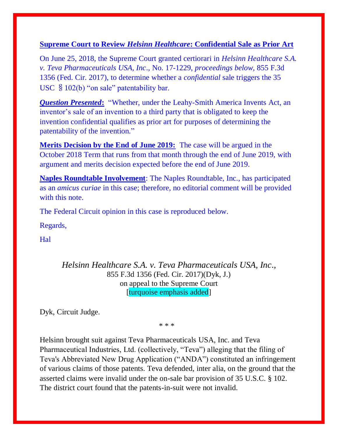## **Supreme Court to Review** *Helsinn Healthcare***: Confidential Sale as Prior Art**

On June 25, 2018, the Supreme Court granted certiorari in *Helsinn Healthcare S.A. v. Teva Pharmaceuticals USA, Inc*., No. 17-1229, *proceedings below,* 855 F.3d 1356 (Fed. Cir. 2017), to determine whether a *confidential* sale triggers the 35 USC §102(b) "on sale" patentability bar.

*Question Presented***:** "Whether, under the Leahy-Smith America Invents Act, an inventor's sale of an invention to a third party that is obligated to keep the invention confidential qualifies as prior art for purposes of determining the patentability of the invention."

**Merits Decision by the End of June 2019:** The case will be argued in the October 2018 Term that runs from that month through the end of June 2019, with argument and merits decision expected before the end of June 2019.

**Naples Roundtable Involvement**: The Naples Roundtable, Inc., has participated as an *amicus curiae* in this case; therefore, no editorial comment will be provided with this note.

The Federal Circuit opinion in this case is reproduced below.

Regards,

Hal

*Helsinn Healthcare S.A. v. Teva Pharmaceuticals USA, Inc*., 855 F.3d 1356 (Fed. Cir. 2017)(Dyk, J.) on appeal to the Supreme Court [turquoise emphasis added]

[Dyk,](https://1.next.westlaw.com/Link/Document/FullText?findType=h&pubNum=176284&cite=0127930301&originatingDoc=Ib18d09d02e9311e79de0d9b9354e8e59&refType=RQ&originationContext=document&transitionType=DocumentItem&contextData=(sc.Search)) Circuit Judge.

\* \* \*

Helsinn brought suit against Teva Pharmaceuticals USA, Inc. and Teva Pharmaceutical Industries, Ltd. (collectively, "Teva") alleging that the filing of Teva's Abbreviated New Drug Application ("ANDA") constituted an infringement of various claims of those patents. Teva defended, inter alia, on the ground that the asserted claims were invalid under the on-sale bar provision of [35 U.S.C. § 102.](https://1.next.westlaw.com/Link/Document/FullText?findType=L&pubNum=1000546&cite=35USCAS102&originatingDoc=Ib18d09d02e9311e79de0d9b9354e8e59&refType=LQ&originationContext=document&transitionType=DocumentItem&contextData=(sc.Search)) The district court found that the patents-in-suit were not invalid.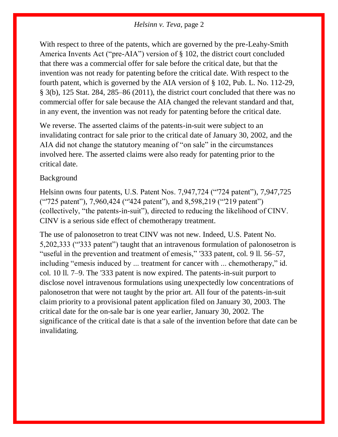With respect to three of the patents, which are governed by the pre-Leahy-Smith America Invents Act ("pre-AIA") version of [§ 102,](https://1.next.westlaw.com/Link/Document/FullText?findType=L&pubNum=1000546&cite=35USCAS102&originatingDoc=Ib18d09d02e9311e79de0d9b9354e8e59&refType=LQ&originationContext=document&transitionType=DocumentItem&contextData=(sc.Search)) the district court concluded that there was a commercial offer for sale before the critical date, but that the invention was not ready for patenting before the critical date. With respect to the fourth patent, which is governed by the AIA version of [§ 102,](https://1.next.westlaw.com/Link/Document/FullText?findType=L&pubNum=1000546&cite=35USCAS102&originatingDoc=Ib18d09d02e9311e79de0d9b9354e8e59&refType=LQ&originationContext=document&transitionType=DocumentItem&contextData=(sc.Search)) [Pub. L. No. 112-29,](https://1.next.westlaw.com/Link/Document/FullText?findType=l&pubNum=1077005&cite=UUID(I4EC254D0E2-C811E09C69A-E09CBDB48B5)&originatingDoc=Ib18d09d02e9311e79de0d9b9354e8e59&refType=SL&originationContext=document&transitionType=DocumentItem&contextData=(sc.Search))  [§ 3\(b\), 125 Stat. 284,](https://1.next.westlaw.com/Link/Document/FullText?findType=l&pubNum=1077005&cite=UUID(I4EC254D0E2-C811E09C69A-E09CBDB48B5)&originatingDoc=Ib18d09d02e9311e79de0d9b9354e8e59&refType=SL&originationContext=document&transitionType=DocumentItem&contextData=(sc.Search)) 285–86 (2011), the district court concluded that there was no commercial offer for sale because the AIA changed the relevant standard and that, in any event, the invention was not ready for patenting before the critical date.

We reverse. The asserted claims of the patents-in-suit were subject to an invalidating contract for sale prior to the critical date of January 30, 2002, and the AIA did not change the statutory meaning of "on sale" in the circumstances involved here. The asserted claims were also ready for patenting prior to the critical date.

### Background

Helsinn owns four patents, [U.S. Patent Nos. 7,947,724 \("'724 patent"\),](https://1.next.westlaw.com/Link/Document/FullText?findType=Y&serNum=2025341149&pubNum=0004074&originatingDoc=Ib18d09d02e9311e79de0d9b9354e8e59&refType=PA&docFamilyGuid=I93ce3799863c11e0af6af9916f973d19&originationContext=document&transitionType=DocumentItem&contextData=(sc.Search)) [7,947,725](https://1.next.westlaw.com/Link/Document/FullText?findType=Y&serNum=2025341194&pubNum=0004074&originatingDoc=Ib18d09d02e9311e79de0d9b9354e8e59&refType=PA&docFamilyGuid=I93ce3782863c11e0af6af9916f973d19&originationContext=document&transitionType=DocumentItem&contextData=(sc.Search))  [\("'725 patent"\),](https://1.next.westlaw.com/Link/Document/FullText?findType=Y&serNum=2025341194&pubNum=0004074&originatingDoc=Ib18d09d02e9311e79de0d9b9354e8e59&refType=PA&docFamilyGuid=I93ce3782863c11e0af6af9916f973d19&originationContext=document&transitionType=DocumentItem&contextData=(sc.Search)) [7,960,424 \("'424 patent"\),](https://1.next.westlaw.com/Link/Document/FullText?findType=Y&serNum=2025489000&pubNum=0004074&originatingDoc=Ib18d09d02e9311e79de0d9b9354e8e59&refType=PA&docFamilyGuid=Id996376d971611e0a34df17ea74c323f&originationContext=document&transitionType=DocumentItem&contextData=(sc.Search)) and [8,598,219 \("'219 patent"\)](https://1.next.westlaw.com/Link/Document/FullText?findType=Y&serNum=2032215801&pubNum=0004074&originatingDoc=Ib18d09d02e9311e79de0d9b9354e8e59&refType=PA&docFamilyGuid=Id5f746905df511e3bfb2e8ac5784b590&originationContext=document&transitionType=DocumentItem&contextData=(sc.Search)) (collectively, "the patents-in-suit"), directed to reducing the likelihood of CINV. CINV is a serious side [effect of chemotherapy](https://1.next.westlaw.com/Link/Document/FullText?entityType=disease&entityId=Ic3f3a0be475411db9765f9243f53508a&originationContext=document&transitionType=DocumentItem&contextData=(sc.Default)) treatment.

The use of [palonosetron](https://1.next.westlaw.com/Link/Document/FullText?entityType=gdrug&entityId=I3ab3654d475111db9765f9243f53508a&originationContext=document&transitionType=DocumentItem&contextData=(sc.Default)) to treat CINV was not new. Indeed, [U.S. Patent No.](https://1.next.westlaw.com/Link/Document/FullText?findType=Y&serNum=1993288851&pubNum=0004074&originatingDoc=Ib18d09d02e9311e79de0d9b9354e8e59&refType=PA&docFamilyGuid=I6ee6671072a611d7947cc0bc28d0837a&originationContext=document&transitionType=DocumentItem&contextData=(sc.Search))  [5,202,333 \("'333 patent"\)](https://1.next.westlaw.com/Link/Document/FullText?findType=Y&serNum=1993288851&pubNum=0004074&originatingDoc=Ib18d09d02e9311e79de0d9b9354e8e59&refType=PA&docFamilyGuid=I6ee6671072a611d7947cc0bc28d0837a&originationContext=document&transitionType=DocumentItem&contextData=(sc.Search)) taught that an intravenous formulation of [palonosetron](https://1.next.westlaw.com/Link/Document/FullText?entityType=gdrug&entityId=I3ab3654d475111db9765f9243f53508a&originationContext=document&transitionType=DocumentItem&contextData=(sc.Default)) is "useful in the prevention and treatment of emesis," ['333 patent,](https://1.next.westlaw.com/Link/Document/FullText?findType=Y&serNum=1993288851&pubNum=0004074&originatingDoc=Ib18d09d02e9311e79de0d9b9354e8e59&refType=PA&docFamilyGuid=I6ee6671072a611d7947cc0bc28d0837a&originationContext=document&transitionType=DocumentItem&contextData=(sc.Search)) col. 9 ll. 56–57, including "emesis induced by ... treatment for [cancer](https://1.next.westlaw.com/Link/Document/FullText?entityType=disease&entityId=Iaf34f5c3475411db9765f9243f53508a&originationContext=document&transitionType=DocumentItem&contextData=(sc.Default)) with ... chemotherapy," id. col. 10 ll. 7–9. The ['333 patent](https://1.next.westlaw.com/Link/Document/FullText?findType=Y&serNum=1993288851&pubNum=0004074&originatingDoc=Ib18d09d02e9311e79de0d9b9354e8e59&refType=PA&docFamilyGuid=I6ee6671072a611d7947cc0bc28d0837a&originationContext=document&transitionType=DocumentItem&contextData=(sc.Search)) is now expired. The patents-in-suit purport to disclose novel intravenous formulations using unexpectedly low concentrations of palonosetron that were not taught by the prior art. All four of the patents-in-suit claim priority to a provisional patent application filed on January 30, 2003. The critical date for the on-sale bar is one year earlier, January 30, 2002. The significance of the critical date is that a sale of the invention before that date can be invalidating.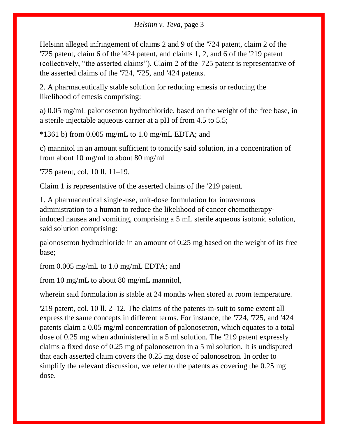Helsinn alleged infringement of claims 2 and 9 of the ['724 patent,](https://1.next.westlaw.com/Link/Document/FullText?findType=Y&serNum=2025341149&pubNum=0004074&originatingDoc=Ib18d09d02e9311e79de0d9b9354e8e59&refType=PA&docFamilyGuid=I93ce3799863c11e0af6af9916f973d19&originationContext=document&transitionType=DocumentItem&contextData=(sc.Search)) claim 2 of the ['725 patent,](https://1.next.westlaw.com/Link/Document/FullText?findType=Y&serNum=2025341194&pubNum=0004074&originatingDoc=Ib18d09d02e9311e79de0d9b9354e8e59&refType=PA&docFamilyGuid=I93ce3782863c11e0af6af9916f973d19&originationContext=document&transitionType=DocumentItem&contextData=(sc.Search)) claim 6 of the ['424 patent,](https://1.next.westlaw.com/Link/Document/FullText?findType=Y&serNum=2025489000&pubNum=0004074&originatingDoc=Ib18d09d02e9311e79de0d9b9354e8e59&refType=PA&docFamilyGuid=Id996376d971611e0a34df17ea74c323f&originationContext=document&transitionType=DocumentItem&contextData=(sc.Search)) and claims 1, 2, and 6 of the ['219 patent](https://1.next.westlaw.com/Link/Document/FullText?findType=Y&serNum=2032215801&pubNum=0004074&originatingDoc=Ib18d09d02e9311e79de0d9b9354e8e59&refType=PA&docFamilyGuid=Id5f746905df511e3bfb2e8ac5784b590&originationContext=document&transitionType=DocumentItem&contextData=(sc.Search)) (collectively, "the asserted claims"). Claim 2 of the ['725 patent](https://1.next.westlaw.com/Link/Document/FullText?findType=Y&serNum=2025341194&pubNum=0004074&originatingDoc=Ib18d09d02e9311e79de0d9b9354e8e59&refType=PA&docFamilyGuid=I93ce3782863c11e0af6af9916f973d19&originationContext=document&transitionType=DocumentItem&contextData=(sc.Search)) is representative of the asserted claims of the ['724,](https://1.next.westlaw.com/Link/Document/FullText?findType=Y&serNum=2025341149&pubNum=0004074&originatingDoc=Ib18d09d02e9311e79de0d9b9354e8e59&refType=PA&docFamilyGuid=I93ce3799863c11e0af6af9916f973d19&originationContext=document&transitionType=DocumentItem&contextData=(sc.Search)) ['725,](https://1.next.westlaw.com/Link/Document/FullText?findType=Y&serNum=2025341194&pubNum=0004074&originatingDoc=Ib18d09d02e9311e79de0d9b9354e8e59&refType=PA&docFamilyGuid=I93ce3782863c11e0af6af9916f973d19&originationContext=document&transitionType=DocumentItem&contextData=(sc.Search)) and ['424 patents.](https://1.next.westlaw.com/Link/Document/FullText?findType=Y&serNum=2025489000&pubNum=0004074&originatingDoc=Ib18d09d02e9311e79de0d9b9354e8e59&refType=PA&docFamilyGuid=Id996376d971611e0a34df17ea74c323f&originationContext=document&transitionType=DocumentItem&contextData=(sc.Search))

2. A pharmaceutically stable solution for reducing emesis or reducing the likelihood of emesis comprising:

a) 0.05 mg/mL [palonosetron](https://1.next.westlaw.com/Link/Document/FullText?entityType=gdrug&entityId=I3ab3654d475111db9765f9243f53508a&originationContext=document&transitionType=DocumentItem&contextData=(sc.Default)) hydrochloride, based on the weight of the free base, in a sterile injectable aqueous carrier at a pH of from 4.5 to 5.5;

 $*1361$  b) from 0.005 mg/mL to 1.0 mg/mL EDTA; and

c) mannitol in an amount sufficient to tonicify said solution, in a concentration of from about 10 mg/ml to about 80 mg/ml

['725 patent,](https://1.next.westlaw.com/Link/Document/FullText?findType=Y&serNum=2025341194&pubNum=0004074&originatingDoc=Ib18d09d02e9311e79de0d9b9354e8e59&refType=PA&docFamilyGuid=I93ce3782863c11e0af6af9916f973d19&originationContext=document&transitionType=DocumentItem&contextData=(sc.Search)) col. 10 ll. 11–19.

Claim 1 is representative of the asserted claims of the ['219 patent.](https://1.next.westlaw.com/Link/Document/FullText?findType=Y&serNum=2032215801&pubNum=0004074&originatingDoc=Ib18d09d02e9311e79de0d9b9354e8e59&refType=PA&docFamilyGuid=Id5f746905df511e3bfb2e8ac5784b590&originationContext=document&transitionType=DocumentItem&contextData=(sc.Search))

1. A pharmaceutical single-use, unit-dose formulation for intravenous administration to a human to reduce the likelihood of [cancer](https://1.next.westlaw.com/Link/Document/FullText?entityType=disease&entityId=Iaf34f5c3475411db9765f9243f53508a&originationContext=document&transitionType=DocumentItem&contextData=(sc.Default)) [chemotherapy](https://1.next.westlaw.com/Link/Document/FullText?entityType=disease&entityId=Ic39e54f3475411db9765f9243f53508a&originationContext=document&transitionType=DocumentItem&contextData=(sc.Default))[induced nausea and vomiting,](https://1.next.westlaw.com/Link/Document/FullText?entityType=disease&entityId=Ic39e54f3475411db9765f9243f53508a&originationContext=document&transitionType=DocumentItem&contextData=(sc.Default)) comprising a 5 mL sterile aqueous isotonic solution, said solution comprising:

[palonosetron](https://1.next.westlaw.com/Link/Document/FullText?entityType=gdrug&entityId=I3ab3654d475111db9765f9243f53508a&originationContext=document&transitionType=DocumentItem&contextData=(sc.Default)) hydrochloride in an amount of 0.25 mg based on the weight of its free base;

from 0.005 mg/mL to 1.0 mg/mL EDTA; and

from 10 mg/mL to about 80 mg/mL mannitol,

wherein said formulation is stable at 24 months when stored at room temperature.

['219 patent,](https://1.next.westlaw.com/Link/Document/FullText?findType=Y&serNum=2032215801&pubNum=0004074&originatingDoc=Ib18d09d02e9311e79de0d9b9354e8e59&refType=PA&docFamilyGuid=Id5f746905df511e3bfb2e8ac5784b590&originationContext=document&transitionType=DocumentItem&contextData=(sc.Search)) col. 10 ll. 2–12. The claims of the patents-in-suit to some extent all express the same concepts in different terms. For instance, the ['724,](https://1.next.westlaw.com/Link/Document/FullText?findType=Y&serNum=2025341149&pubNum=0004074&originatingDoc=Ib18d09d02e9311e79de0d9b9354e8e59&refType=PA&docFamilyGuid=I93ce3799863c11e0af6af9916f973d19&originationContext=document&transitionType=DocumentItem&contextData=(sc.Search)) ['725,](https://1.next.westlaw.com/Link/Document/FullText?findType=Y&serNum=2025341194&pubNum=0004074&originatingDoc=Ib18d09d02e9311e79de0d9b9354e8e59&refType=PA&docFamilyGuid=I93ce3782863c11e0af6af9916f973d19&originationContext=document&transitionType=DocumentItem&contextData=(sc.Search)) and ['424](https://1.next.westlaw.com/Link/Document/FullText?findType=Y&serNum=2025489000&pubNum=0004074&originatingDoc=Ib18d09d02e9311e79de0d9b9354e8e59&refType=PA&docFamilyGuid=Id996376d971611e0a34df17ea74c323f&originationContext=document&transitionType=DocumentItem&contextData=(sc.Search))  [patents](https://1.next.westlaw.com/Link/Document/FullText?findType=Y&serNum=2025489000&pubNum=0004074&originatingDoc=Ib18d09d02e9311e79de0d9b9354e8e59&refType=PA&docFamilyGuid=Id996376d971611e0a34df17ea74c323f&originationContext=document&transitionType=DocumentItem&contextData=(sc.Search)) claim a 0.05 mg/ml concentration of palonosetron, which equates to a total dose of 0.25 mg when administered in a 5 ml solution. The ['219 patent](https://1.next.westlaw.com/Link/Document/FullText?findType=Y&serNum=2032215801&pubNum=0004074&originatingDoc=Ib18d09d02e9311e79de0d9b9354e8e59&refType=PA&docFamilyGuid=Id5f746905df511e3bfb2e8ac5784b590&originationContext=document&transitionType=DocumentItem&contextData=(sc.Search)) expressly claims a fixed dose of 0.25 mg of [palonosetron](https://1.next.westlaw.com/Link/Document/FullText?entityType=gdrug&entityId=I3ab3654d475111db9765f9243f53508a&originationContext=document&transitionType=DocumentItem&contextData=(sc.Default)) in a 5 ml solution. It is undisputed that each asserted claim covers the 0.25 mg dose of palonosetron. In order to simplify the relevant discussion, we refer to the patents as covering the 0.25 mg dose.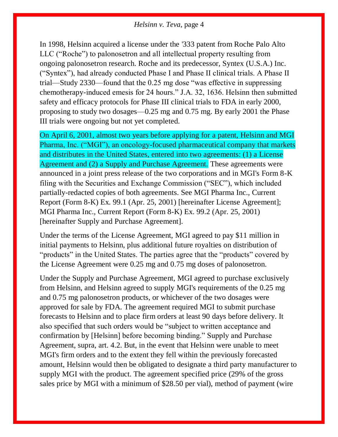In 1998, Helsinn acquired a license under the ['333 patent](https://1.next.westlaw.com/Link/Document/FullText?findType=Y&serNum=1993288851&pubNum=0004074&originatingDoc=Ib18d09d02e9311e79de0d9b9354e8e59&refType=PA&docFamilyGuid=I6ee6671072a611d7947cc0bc28d0837a&originationContext=document&transitionType=DocumentItem&contextData=(sc.Search)) from Roche Palo Alto LLC ("Roche") to palonosetron and all intellectual property resulting from ongoing palonosetron research. Roche and its predecessor, Syntex (U.S.A.) Inc. ("Syntex"), had already conducted Phase I and Phase II clinical trials. A Phase II trial—Study 2330—found that the 0.25 mg dose "was effective in suppressing chemotherapy-induced emesis for 24 hours." J.A. 32, 1636. Helsinn then submitted safety and efficacy protocols for Phase III clinical trials to FDA in early 2000, proposing to study two dosages—0.25 mg and 0.75 mg. By early 2001 the Phase III trials were ongoing but not yet completed.

On April 6, 2001, almost two years before applying for a patent, Helsinn and MGI Pharma, Inc. ("MGI"), an oncology-focused pharmaceutical company that markets and distributes in the United States, entered into two agreements: (1) a License Agreement and (2) a Supply and Purchase Agreement. These agreements were announced in a joint press release of the two corporations and in MGI's Form 8-K filing with the Securities and Exchange Commission ("SEC"), which included partially-redacted copies of both agreements. See MGI Pharma Inc., Current Report (Form 8-K) Ex. 99.1 (Apr. 25, 2001) [hereinafter License Agreement]; MGI Pharma Inc., Current Report (Form 8-K) Ex. 99.2 (Apr. 25, 2001) [hereinafter Supply and Purchase Agreement].

Under the terms of the License Agreement, MGI agreed to pay \$11 million in initial payments to Helsinn, plus additional future royalties on distribution of "products" in the United States. The parties agree that the "products" covered by the License Agreement were 0.25 mg and 0.75 mg doses of palonosetron.

Under the Supply and Purchase Agreement, MGI agreed to purchase exclusively from Helsinn, and Helsinn agreed to supply MGI's requirements of the 0.25 mg and 0.75 mg palonosetron products, or whichever of the two dosages were approved for sale by FDA. The agreement required MGI to submit purchase forecasts to Helsinn and to place firm orders at least 90 days before delivery. It also specified that such orders would be "subject to written acceptance and confirmation by [Helsinn] before becoming binding." Supply and Purchase Agreement, supra, art. 4.2. But, in the event that Helsinn were unable to meet MGI's firm orders and to the extent they fell within the previously forecasted amount, Helsinn would then be obligated to designate a third party manufacturer to supply MGI with the product. The agreement specified price (29% of the gross sales price by MGI with a minimum of \$28.50 per vial), method of payment (wire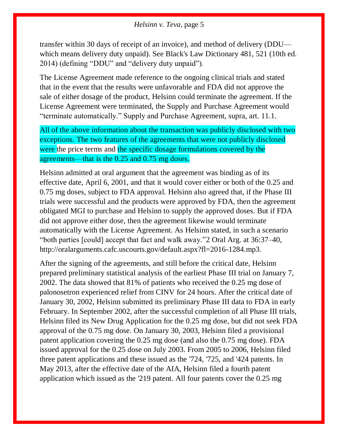transfer within 30 days of receipt of an invoice), and method of delivery (DDU which means delivery duty unpaid). See Black's Law Dictionary 481, 521 (10th ed. 2014) (defining "DDU" and "delivery duty unpaid").

The License Agreement made reference to the ongoing clinical trials and stated that in the event that the results were unfavorable and FDA did not approve the sale of either dosage of the product, Helsinn could terminate the agreement. If the License Agreement were terminated, the Supply and Purchase Agreement would "terminate automatically." Supply and Purchase Agreement, supra, art. 11.1.

All of the above information about the transaction was publicly disclosed with two exceptions. The two features of the agreements that were not publicly disclosed were the price terms and the specific dosage formulations covered by the agreements—that is the 0.25 and 0.75 mg doses.

Helsinn admitted at oral argument that the agreement was binding as of its effective date, April 6, 2001, and that it would cover either or both of the 0.25 and 0.75 mg doses, subject to FDA approval. Helsinn also agreed that, if the Phase III trials were successful and the products were approved by FDA, then the agreement obligated MGI to purchase and Helsinn to supply the approved doses. But if FDA did not approve either dose, then the agreement likewise would terminate automatically with the License Agreement. As Helsinn stated, in such a scenario "both parties [could] accept that fact and walk away.["2](https://1.next.westlaw.com/Document/Ib18d09d02e9311e79de0d9b9354e8e59/View/FullText.html?navigationPath=Search%2Fv1%2Fresults%2Fnavigation%2Fi0ad73aa7000001643cbe420d3f3e34f7%3FNav%3DCASE%26fragmentIdentifier%3DIb18d09d02e9311e79de0d9b9354e8e59%26startIndex%3D1%26contextData%3D%2528sc.Search%2529%26transitionType%3DSearchItem&listSource=Search&listPageSource=9ecfb5dd764b033872c1b85917252153&list=ALL&rank=1&sessionScopeId=52a0e40fca98e38fcc59984ddf26ead6f5376bec34e916c8590f88dc43792fae&originationContext=Search%20Result&transitionType=SearchItem&contextData=%28sc.Search%29#co_footnote_B00022041546452) Oral Arg. at 36:37–40, http://oralarguments.cafc.uscourts.gov/default.aspx?fl=2016-1284.mp3.

After the signing of the agreements, and still before the critical date, Helsinn prepared preliminary statistical analysis of the earliest Phase III trial on January 7, 2002. The data showed that 81% of patients who received the 0.25 mg dose of palonosetron experienced relief from CINV for 24 hours. After the critical date of January 30, 2002, Helsinn submitted its preliminary Phase III data to FDA in early February. In September 2002, after the successful completion of all Phase III trials, Helsinn filed its New Drug Application for the 0.25 mg dose, but did not seek FDA approval of the 0.75 mg dose. On January 30, 2003, Helsinn filed a provisional patent application covering the 0.25 mg dose (and also the 0.75 mg dose). FDA issued approval for the 0.25 dose on July 2003. From 2005 to 2006, Helsinn filed three patent applications and these issued as the ['724,](https://1.next.westlaw.com/Link/Document/FullText?findType=Y&serNum=2025341149&pubNum=0004074&originatingDoc=Ib18d09d02e9311e79de0d9b9354e8e59&refType=PA&docFamilyGuid=I93ce3799863c11e0af6af9916f973d19&originationContext=document&transitionType=DocumentItem&contextData=(sc.Search)) ['725,](https://1.next.westlaw.com/Link/Document/FullText?findType=Y&serNum=2025341194&pubNum=0004074&originatingDoc=Ib18d09d02e9311e79de0d9b9354e8e59&refType=PA&docFamilyGuid=I93ce3782863c11e0af6af9916f973d19&originationContext=document&transitionType=DocumentItem&contextData=(sc.Search)) and ['424 patents.](https://1.next.westlaw.com/Link/Document/FullText?findType=Y&serNum=2025489000&pubNum=0004074&originatingDoc=Ib18d09d02e9311e79de0d9b9354e8e59&refType=PA&docFamilyGuid=Id996376d971611e0a34df17ea74c323f&originationContext=document&transitionType=DocumentItem&contextData=(sc.Search)) In May 2013, after the effective date of the AIA, Helsinn filed a fourth patent application which issued as the ['219 patent.](https://1.next.westlaw.com/Link/Document/FullText?findType=Y&serNum=2032215801&pubNum=0004074&originatingDoc=Ib18d09d02e9311e79de0d9b9354e8e59&refType=PA&docFamilyGuid=Id5f746905df511e3bfb2e8ac5784b590&originationContext=document&transitionType=DocumentItem&contextData=(sc.Search)) All four patents cover the 0.25 mg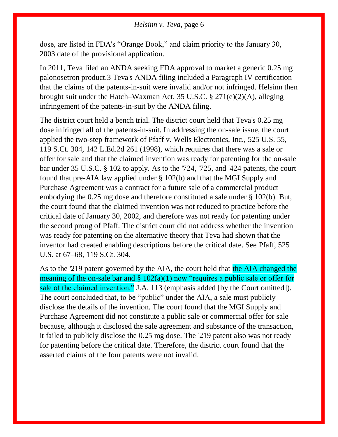dose, are listed in FDA's "Orange Book," and claim priority to the January 30, 2003 date of the provisional application.

In 2011, Teva filed an ANDA seeking FDA approval to market a generic 0.25 mg palonosetron product[.3](https://1.next.westlaw.com/Document/Ib18d09d02e9311e79de0d9b9354e8e59/View/FullText.html?navigationPath=Search%2Fv1%2Fresults%2Fnavigation%2Fi0ad73aa7000001643cbe420d3f3e34f7%3FNav%3DCASE%26fragmentIdentifier%3DIb18d09d02e9311e79de0d9b9354e8e59%26startIndex%3D1%26contextData%3D%2528sc.Search%2529%26transitionType%3DSearchItem&listSource=Search&listPageSource=9ecfb5dd764b033872c1b85917252153&list=ALL&rank=1&sessionScopeId=52a0e40fca98e38fcc59984ddf26ead6f5376bec34e916c8590f88dc43792fae&originationContext=Search%20Result&transitionType=SearchItem&contextData=%28sc.Search%29#co_footnote_B00032041546452) Teva's ANDA filing included a Paragraph IV certification that the claims of the patents-in-suit were invalid and/or not infringed. Helsinn then brought suit under the Hatch–Waxman Act, [35 U.S.C. § 271\(e\)\(2\)\(A\),](https://1.next.westlaw.com/Link/Document/FullText?findType=L&pubNum=1000546&cite=35USCAS271&originatingDoc=Ib18d09d02e9311e79de0d9b9354e8e59&refType=SP&originationContext=document&transitionType=DocumentItem&contextData=(sc.Search)#co_pp_9e660000185f2) alleging infringement of the patents-in-suit by the ANDA filing.

The district court held a bench trial. The district court held that Teva's 0.25 mg dose infringed all of the patents-in-suit. In addressing the on-sale issue, the court applied the two-step framework of [Pfaff v. Wells Electronics, Inc., 525 U.S. 55,](https://1.next.westlaw.com/Link/Document/FullText?findType=Y&serNum=1998228564&pubNum=0000708&originatingDoc=Ib18d09d02e9311e79de0d9b9354e8e59&refType=RP&originationContext=document&transitionType=DocumentItem&contextData=(sc.Search))  [119 S.Ct. 304, 142 L.Ed.2d 261 \(1998\),](https://1.next.westlaw.com/Link/Document/FullText?findType=Y&serNum=1998228564&pubNum=0000708&originatingDoc=Ib18d09d02e9311e79de0d9b9354e8e59&refType=RP&originationContext=document&transitionType=DocumentItem&contextData=(sc.Search)) which requires that there was a sale or offer for sale and that the claimed invention was ready for patenting for the on-sale bar under [35 U.S.C. § 102](https://1.next.westlaw.com/Link/Document/FullText?findType=L&pubNum=1000546&cite=35USCAS102&originatingDoc=Ib18d09d02e9311e79de0d9b9354e8e59&refType=LQ&originationContext=document&transitionType=DocumentItem&contextData=(sc.Search)) to apply. As to the ['724,](https://1.next.westlaw.com/Link/Document/FullText?findType=Y&serNum=2025341149&pubNum=0004074&originatingDoc=Ib18d09d02e9311e79de0d9b9354e8e59&refType=PA&docFamilyGuid=I93ce3799863c11e0af6af9916f973d19&originationContext=document&transitionType=DocumentItem&contextData=(sc.Search)) ['725,](https://1.next.westlaw.com/Link/Document/FullText?findType=Y&serNum=2025341194&pubNum=0004074&originatingDoc=Ib18d09d02e9311e79de0d9b9354e8e59&refType=PA&docFamilyGuid=I93ce3782863c11e0af6af9916f973d19&originationContext=document&transitionType=DocumentItem&contextData=(sc.Search)) and ['424 patents,](https://1.next.westlaw.com/Link/Document/FullText?findType=Y&serNum=2025489000&pubNum=0004074&originatingDoc=Ib18d09d02e9311e79de0d9b9354e8e59&refType=PA&docFamilyGuid=Id996376d971611e0a34df17ea74c323f&originationContext=document&transitionType=DocumentItem&contextData=(sc.Search)) the court found that pre-AIA law applied under [§ 102\(b\)](https://1.next.westlaw.com/Link/Document/FullText?findType=L&pubNum=1000546&cite=35USCAS102&originatingDoc=Ib18d09d02e9311e79de0d9b9354e8e59&refType=SP&originationContext=document&transitionType=DocumentItem&contextData=(sc.Search)#co_pp_a83b000018c76) and that the MGI Supply and Purchase Agreement was a contract for a future sale of a commercial product embodying the 0.25 mg dose and therefore constituted a sale under [§ 102\(b\).](https://1.next.westlaw.com/Link/Document/FullText?findType=L&pubNum=1000546&cite=35USCAS102&originatingDoc=Ib18d09d02e9311e79de0d9b9354e8e59&refType=SP&originationContext=document&transitionType=DocumentItem&contextData=(sc.Search)#co_pp_a83b000018c76) But, the court found that the claimed invention was not reduced to practice before the critical date of January 30, 2002, and therefore was not ready for patenting under the second prong of [Pfaff.](https://1.next.westlaw.com/Link/Document/FullText?findType=Y&serNum=1998228564&pubNum=0000780&originatingDoc=Ib18d09d02e9311e79de0d9b9354e8e59&refType=RP&originationContext=document&transitionType=DocumentItem&contextData=(sc.Search)) The district court did not address whether the invention was ready for patenting on the alternative theory that Teva had shown that the inventor had created enabling descriptions before the critical date. See [Pfaff, 525](https://1.next.westlaw.com/Link/Document/FullText?findType=Y&serNum=1998228564&pubNum=0000708&originatingDoc=Ib18d09d02e9311e79de0d9b9354e8e59&refType=RP&originationContext=document&transitionType=DocumentItem&contextData=(sc.Search))  [U.S. at 67–68, 119 S.Ct. 304.](https://1.next.westlaw.com/Link/Document/FullText?findType=Y&serNum=1998228564&pubNum=0000708&originatingDoc=Ib18d09d02e9311e79de0d9b9354e8e59&refType=RP&originationContext=document&transitionType=DocumentItem&contextData=(sc.Search))

As to the ['219 patent](https://1.next.westlaw.com/Link/Document/FullText?findType=Y&serNum=2032215801&pubNum=0004074&originatingDoc=Ib18d09d02e9311e79de0d9b9354e8e59&refType=PA&docFamilyGuid=Id5f746905df511e3bfb2e8ac5784b590&originationContext=document&transitionType=DocumentItem&contextData=(sc.Search)) governed by the AIA, the court held that the AIA changed the meaning of the on-sale bar and  $\S 102(a)(1)$  now "requires a public sale or offer for sale of the claimed invention." J.A. 113 (emphasis added [by the Court omitted]). The court concluded that, to be "public" under the AIA, a sale must publicly disclose the details of the invention. The court found that the MGI Supply and Purchase Agreement did not constitute a public sale or commercial offer for sale because, although it disclosed the sale agreement and substance of the transaction, it failed to publicly disclose the 0.25 mg dose. The ['219 patent](https://1.next.westlaw.com/Link/Document/FullText?findType=Y&serNum=2032215801&pubNum=0004074&originatingDoc=Ib18d09d02e9311e79de0d9b9354e8e59&refType=PA&docFamilyGuid=Id5f746905df511e3bfb2e8ac5784b590&originationContext=document&transitionType=DocumentItem&contextData=(sc.Search)) also was not ready for patenting before the critical date. Therefore, the district court found that the asserted claims of the four patents were not invalid.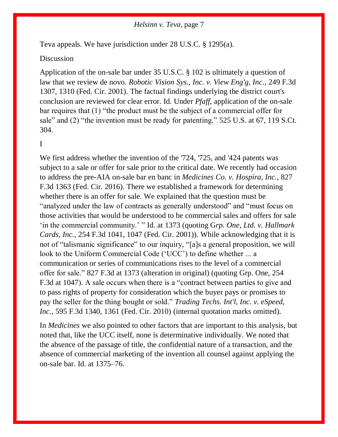Teva appeals. We have jurisdiction under [28 U.S.C. § 1295\(a\).](https://1.next.westlaw.com/Link/Document/FullText?findType=L&pubNum=1000546&cite=28USCAS1295&originatingDoc=Ib18d09d02e9311e79de0d9b9354e8e59&refType=SP&originationContext=document&transitionType=DocumentItem&contextData=(sc.Search)#co_pp_8b3b0000958a4)

#### Discussion

Application of the on-sale bar under [35 U.S.C. § 102](https://1.next.westlaw.com/Link/Document/FullText?findType=L&pubNum=1000546&cite=35USCAS102&originatingDoc=Ib18d09d02e9311e79de0d9b9354e8e59&refType=LQ&originationContext=document&transitionType=DocumentItem&contextData=(sc.Search)) is ultimately a question of law that we review de novo. *[Robotic Vision Sys., Inc. v. View Eng'g, Inc](https://1.next.westlaw.com/Link/Document/FullText?findType=Y&serNum=2001386257&pubNum=0000506&originatingDoc=Ib18d09d02e9311e79de0d9b9354e8e59&refType=RP&fi=co_pp_sp_506_1310&originationContext=document&transitionType=DocumentItem&contextData=(sc.Search)#co_pp_sp_506_1310)*., 249 F.3d [1307, 1310 \(Fed. Cir. 2001\).](https://1.next.westlaw.com/Link/Document/FullText?findType=Y&serNum=2001386257&pubNum=0000506&originatingDoc=Ib18d09d02e9311e79de0d9b9354e8e59&refType=RP&fi=co_pp_sp_506_1310&originationContext=document&transitionType=DocumentItem&contextData=(sc.Search)#co_pp_sp_506_1310) The factual findings underlying the district court's conclusion are reviewed for clear error. [Id.](https://1.next.westlaw.com/Link/Document/FullText?findType=Y&serNum=2001386257&pubNum=0000506&originatingDoc=Ib18d09d02e9311e79de0d9b9354e8e59&refType=RP&originationContext=document&transitionType=DocumentItem&contextData=(sc.Search)) Under *[Pfaff](https://1.next.westlaw.com/Link/Document/FullText?findType=Y&serNum=1998228564&pubNum=0000780&originatingDoc=Ib18d09d02e9311e79de0d9b9354e8e59&refType=RP&originationContext=document&transitionType=DocumentItem&contextData=(sc.Search))*, application of the on-sale bar requires that (1) "the product must be the subject of a commercial offer for sale" and (2) "the invention must be ready for patenting." [525 U.S. at 67, 119 S.Ct.](https://1.next.westlaw.com/Link/Document/FullText?findType=Y&serNum=1998228564&pubNum=0000708&originatingDoc=Ib18d09d02e9311e79de0d9b9354e8e59&refType=RP&originationContext=document&transitionType=DocumentItem&contextData=(sc.Search))  [304.](https://1.next.westlaw.com/Link/Document/FullText?findType=Y&serNum=1998228564&pubNum=0000708&originatingDoc=Ib18d09d02e9311e79de0d9b9354e8e59&refType=RP&originationContext=document&transitionType=DocumentItem&contextData=(sc.Search))

#### I

We first address whether the invention of the ['724,](https://1.next.westlaw.com/Link/Document/FullText?findType=Y&serNum=2025341149&pubNum=0004074&originatingDoc=Ib18d09d02e9311e79de0d9b9354e8e59&refType=PA&docFamilyGuid=I93ce3799863c11e0af6af9916f973d19&originationContext=document&transitionType=DocumentItem&contextData=(sc.Search)) ['725,](https://1.next.westlaw.com/Link/Document/FullText?findType=Y&serNum=2025341194&pubNum=0004074&originatingDoc=Ib18d09d02e9311e79de0d9b9354e8e59&refType=PA&docFamilyGuid=I93ce3782863c11e0af6af9916f973d19&originationContext=document&transitionType=DocumentItem&contextData=(sc.Search)) and ['424 patents](https://1.next.westlaw.com/Link/Document/FullText?findType=Y&serNum=2025489000&pubNum=0004074&originatingDoc=Ib18d09d02e9311e79de0d9b9354e8e59&refType=PA&docFamilyGuid=Id996376d971611e0a34df17ea74c323f&originationContext=document&transitionType=DocumentItem&contextData=(sc.Search)) was subject to a sale or offer for sale prior to the critical date. We recently had occasion to address the pre-AIA on-sale bar en banc in *[Medicines Co. v. Hospira, Inc.](https://1.next.westlaw.com/Link/Document/FullText?findType=Y&serNum=2039349161&pubNum=0000506&originatingDoc=Ib18d09d02e9311e79de0d9b9354e8e59&refType=RP&originationContext=document&transitionType=DocumentItem&contextData=(sc.Search))*, 827 [F.3d 1363 \(Fed. Cir. 2016\).](https://1.next.westlaw.com/Link/Document/FullText?findType=Y&serNum=2039349161&pubNum=0000506&originatingDoc=Ib18d09d02e9311e79de0d9b9354e8e59&refType=RP&originationContext=document&transitionType=DocumentItem&contextData=(sc.Search)) There we established a framework for determining whether there is an offer for sale. We explained that the question must be "analyzed under the law of contracts as generally understood" and "must focus on those activities that would be understood to be commercial sales and offers for sale 'in the commercial community.' " [Id. at 1373](https://1.next.westlaw.com/Link/Document/FullText?findType=Y&serNum=2039349161&pubNum=0000506&originatingDoc=Ib18d09d02e9311e79de0d9b9354e8e59&refType=RP&fi=co_pp_sp_506_1373&originationContext=document&transitionType=DocumentItem&contextData=(sc.Search)#co_pp_sp_506_1373) (quoting G*[rp. One, Ltd. v. Hallmark](https://1.next.westlaw.com/Link/Document/FullText?findType=Y&serNum=2001517727&pubNum=0000506&originatingDoc=Ib18d09d02e9311e79de0d9b9354e8e59&refType=RP&fi=co_pp_sp_506_1047&originationContext=document&transitionType=DocumentItem&contextData=(sc.Search)#co_pp_sp_506_1047)  Cards, Inc.*[, 254 F.3d 1041, 1047 \(Fed. Cir. 2001\)\)](https://1.next.westlaw.com/Link/Document/FullText?findType=Y&serNum=2001517727&pubNum=0000506&originatingDoc=Ib18d09d02e9311e79de0d9b9354e8e59&refType=RP&fi=co_pp_sp_506_1047&originationContext=document&transitionType=DocumentItem&contextData=(sc.Search)#co_pp_sp_506_1047). While acknowledging that it is not of "talismanic significance" to our inquiry, "[a]s a general proposition, we will look to the Uniform Commercial Code ('UCC') to define whether ... a communication or series of communications rises to the level of a commercial offer for sale." [827 F.3d at 1373](https://1.next.westlaw.com/Link/Document/FullText?findType=Y&serNum=2039349161&pubNum=0000506&originatingDoc=Ib18d09d02e9311e79de0d9b9354e8e59&refType=RP&fi=co_pp_sp_506_1373&originationContext=document&transitionType=DocumentItem&contextData=(sc.Search)#co_pp_sp_506_1373) (alteration in original) (quoting [Grp. One, 254](https://1.next.westlaw.com/Link/Document/FullText?findType=Y&serNum=2001517727&pubNum=0000506&originatingDoc=Ib18d09d02e9311e79de0d9b9354e8e59&refType=RP&fi=co_pp_sp_506_1047&originationContext=document&transitionType=DocumentItem&contextData=(sc.Search)#co_pp_sp_506_1047)  [F.3d at 1047\)](https://1.next.westlaw.com/Link/Document/FullText?findType=Y&serNum=2001517727&pubNum=0000506&originatingDoc=Ib18d09d02e9311e79de0d9b9354e8e59&refType=RP&fi=co_pp_sp_506_1047&originationContext=document&transitionType=DocumentItem&contextData=(sc.Search)#co_pp_sp_506_1047). A sale occurs when there is a "contract between parties to give and to pass rights of property for consideration which the buyer pays or promises to pay the seller for the thing bought or sold." *[Trading Techs. Int'l, Inc. v. eSpeed,](https://1.next.westlaw.com/Link/Document/FullText?findType=Y&serNum=2021420604&pubNum=0000506&originatingDoc=Ib18d09d02e9311e79de0d9b9354e8e59&refType=RP&fi=co_pp_sp_506_1361&originationContext=document&transitionType=DocumentItem&contextData=(sc.Search)#co_pp_sp_506_1361)  Inc*[., 595 F.3d 1340, 1361 \(Fed. Cir. 2010\)](https://1.next.westlaw.com/Link/Document/FullText?findType=Y&serNum=2021420604&pubNum=0000506&originatingDoc=Ib18d09d02e9311e79de0d9b9354e8e59&refType=RP&fi=co_pp_sp_506_1361&originationContext=document&transitionType=DocumentItem&contextData=(sc.Search)#co_pp_sp_506_1361) (internal quotation marks omitted).

In *[Medicines](https://1.next.westlaw.com/Link/Document/FullText?findType=Y&serNum=2039349161&pubNum=0000506&originatingDoc=Ib18d09d02e9311e79de0d9b9354e8e59&refType=RP&originationContext=document&transitionType=DocumentItem&contextData=(sc.Search))* we also pointed to other factors that are important to this analysis, but noted that, like the UCC itself, none is determinative individually. We noted that the absence of the passage of title, the confidential nature of a transaction, and the absence of commercial marketing of the invention all counsel against applying the on-sale bar. [Id. at 1375–76.](https://1.next.westlaw.com/Link/Document/FullText?findType=Y&serNum=2039349161&pubNum=0000506&originatingDoc=Ib18d09d02e9311e79de0d9b9354e8e59&refType=RP&fi=co_pp_sp_506_1375&originationContext=document&transitionType=DocumentItem&contextData=(sc.Search)#co_pp_sp_506_1375)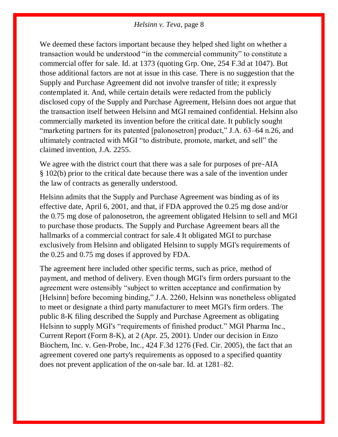We deemed these factors important because they helped shed light on whether a transaction would be understood "in the commercial community" to constitute a commercial offer for sale. [Id. at 1373](https://1.next.westlaw.com/Link/Document/FullText?findType=Y&serNum=2039349161&pubNum=0000506&originatingDoc=Ib18d09d02e9311e79de0d9b9354e8e59&refType=RP&fi=co_pp_sp_506_1373&originationContext=document&transitionType=DocumentItem&contextData=(sc.Search)#co_pp_sp_506_1373) (quoting [Grp. One, 254 F.3d at 1047\)](https://1.next.westlaw.com/Link/Document/FullText?findType=Y&serNum=2001517727&pubNum=0000506&originatingDoc=Ib18d09d02e9311e79de0d9b9354e8e59&refType=RP&fi=co_pp_sp_506_1047&originationContext=document&transitionType=DocumentItem&contextData=(sc.Search)#co_pp_sp_506_1047). But those additional factors are not at issue in this case. There is no suggestion that the Supply and Purchase Agreement did not involve transfer of title; it expressly contemplated it. And, while certain details were redacted from the publicly disclosed copy of the Supply and Purchase Agreement, Helsinn does not argue that the transaction itself between Helsinn and MGI remained confidential. Helsinn also commercially marketed its invention before the critical date. It publicly sought "marketing partners for its patented [palonosetron] product," J.A. 63–64 n.26, and ultimately contracted with MGI "to distribute, promote, market, and sell" the claimed invention, J.A. 2255.

We agree with the district court that there was a sale for purposes of pre-AIA § [102\(b\)](https://1.next.westlaw.com/Link/Document/FullText?findType=L&pubNum=1000546&cite=35USCAS102&originatingDoc=Ib18d09d02e9311e79de0d9b9354e8e59&refType=SP&originationContext=document&transitionType=DocumentItem&contextData=(sc.Search)#co_pp_a83b000018c76) prior to the critical date because there was a sale of the invention under the law of contracts as generally understood.

Helsinn admits that the Supply and Purchase Agreement was binding as of its effective date, April 6, 2001, and that, if FDA approved the 0.25 mg dose and/or the 0.75 mg dose of palonosetron, the agreement obligated Helsinn to sell and MGI to purchase those products. The Supply and Purchase Agreement bears all the hallmarks of a commercial contract for sale[.4](https://1.next.westlaw.com/Document/Ib18d09d02e9311e79de0d9b9354e8e59/View/FullText.html?navigationPath=Search%2Fv1%2Fresults%2Fnavigation%2Fi0ad73aa7000001643cbe420d3f3e34f7%3FNav%3DCASE%26fragmentIdentifier%3DIb18d09d02e9311e79de0d9b9354e8e59%26startIndex%3D1%26contextData%3D%2528sc.Search%2529%26transitionType%3DSearchItem&listSource=Search&listPageSource=9ecfb5dd764b033872c1b85917252153&list=ALL&rank=1&sessionScopeId=52a0e40fca98e38fcc59984ddf26ead6f5376bec34e916c8590f88dc43792fae&originationContext=Search%20Result&transitionType=SearchItem&contextData=%28sc.Search%29#co_footnote_B00042041546452) It obligated MGI to purchase exclusively from Helsinn and obligated Helsinn to supply MGI's requirements of the 0.25 and 0.75 mg doses if approved by FDA.

The agreement here included other specific terms, such as price, method of payment, and method of delivery. Even though MGI's firm orders pursuant to the agreement were ostensibly "subject to written acceptance and confirmation by [Helsinn] before becoming binding," J.A. 2260, Helsinn was nonetheless obligated to meet or designate a third party manufacturer to meet MGI's firm orders. The public 8-K filing described the Supply and Purchase Agreement as obligating Helsinn to supply MGI's "requirements of finished product." MGI Pharma Inc., Current Report (Form 8-K), at 2 (Apr. 25, 2001). Under our decision in [Enzo](https://1.next.westlaw.com/Link/Document/FullText?findType=Y&serNum=2007405678&pubNum=0000506&originatingDoc=Ib18d09d02e9311e79de0d9b9354e8e59&refType=RP&originationContext=document&transitionType=DocumentItem&contextData=(sc.Search))  [Biochem, Inc. v. Gen-Probe, Inc., 424 F.3d 1276 \(Fed. Cir. 2005\),](https://1.next.westlaw.com/Link/Document/FullText?findType=Y&serNum=2007405678&pubNum=0000506&originatingDoc=Ib18d09d02e9311e79de0d9b9354e8e59&refType=RP&originationContext=document&transitionType=DocumentItem&contextData=(sc.Search)) the fact that an agreement covered one party's requirements as opposed to a specified quantity does not prevent application of the on-sale bar. [Id. at 1281–82.](https://1.next.westlaw.com/Link/Document/FullText?findType=Y&serNum=2007405678&pubNum=0000506&originatingDoc=Ib18d09d02e9311e79de0d9b9354e8e59&refType=RP&fi=co_pp_sp_506_1281&originationContext=document&transitionType=DocumentItem&contextData=(sc.Search)#co_pp_sp_506_1281)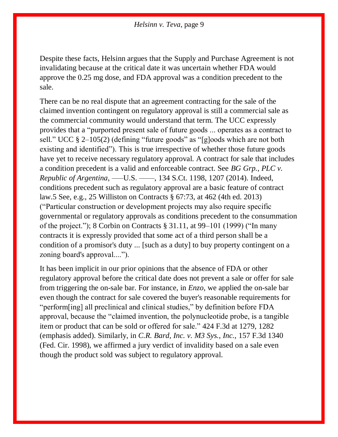Despite these facts, Helsinn argues that the Supply and Purchase Agreement is not invalidating because at the critical date it was uncertain whether FDA would approve the 0.25 mg dose, and FDA approval was a condition precedent to the sale.

There can be no real dispute that an agreement contracting for the sale of the claimed invention contingent on regulatory approval is still a commercial sale as the commercial community would understand that term. The UCC expressly provides that a "purported present sale of future goods ... operates as a contract to sell." [UCC § 2–105\(2\)](https://1.next.westlaw.com/Link/Document/FullText?findType=L&pubNum=1002112&cite=ULUCCS2-105&originatingDoc=Ib18d09d02e9311e79de0d9b9354e8e59&refType=SP&originationContext=document&transitionType=DocumentItem&contextData=(sc.Search)#co_pp_58730000872b1) (defining "future goods" as "[g]oods which are not both existing and identified"). This is true irrespective of whether those future goods have yet to receive necessary regulatory approval. A contract for sale that includes a condition precedent is a valid and enforceable contract. See *[BG Grp., PLC v.](https://1.next.westlaw.com/Link/Document/FullText?findType=Y&serNum=2032824175&pubNum=0000708&originatingDoc=Ib18d09d02e9311e79de0d9b9354e8e59&refType=RP&fi=co_pp_sp_708_1207&originationContext=document&transitionType=DocumentItem&contextData=(sc.Search)#co_pp_sp_708_1207)  Republic of Argentina*[, –––U.S. ––––, 134 S.Ct. 1198, 1207 \(2014\).](https://1.next.westlaw.com/Link/Document/FullText?findType=Y&serNum=2032824175&pubNum=0000708&originatingDoc=Ib18d09d02e9311e79de0d9b9354e8e59&refType=RP&fi=co_pp_sp_708_1207&originationContext=document&transitionType=DocumentItem&contextData=(sc.Search)#co_pp_sp_708_1207) Indeed, conditions precedent such as regulatory approval are a basic feature of contract law[.5](https://1.next.westlaw.com/Document/Ib18d09d02e9311e79de0d9b9354e8e59/View/FullText.html?navigationPath=Search%2Fv1%2Fresults%2Fnavigation%2Fi0ad73aa7000001643cbe420d3f3e34f7%3FNav%3DCASE%26fragmentIdentifier%3DIb18d09d02e9311e79de0d9b9354e8e59%26startIndex%3D1%26contextData%3D%2528sc.Search%2529%26transitionType%3DSearchItem&listSource=Search&listPageSource=9ecfb5dd764b033872c1b85917252153&list=ALL&rank=1&sessionScopeId=52a0e40fca98e38fcc59984ddf26ead6f5376bec34e916c8590f88dc43792fae&originationContext=Search%20Result&transitionType=SearchItem&contextData=%28sc.Search%29#co_footnote_B00052041546452) See, e.g., [25 Williston on Contracts § 67:73, at 462 \(4th ed. 2013\)](https://1.next.westlaw.com/Link/Document/FullText?findType=Y&serNum=0294163050&pubNum=0161983&originatingDoc=Ib18d09d02e9311e79de0d9b9354e8e59&refType=TS&originationContext=document&transitionType=DocumentItem&contextData=(sc.Search)) ("Particular construction or development projects may also require specific governmental or regulatory approvals as conditions precedent to the consummation of the project."); 8 Corbin on Contracts § 31.11, at 99–101 (1999) ("In many contracts it is expressly provided that some act of a third person shall be a condition of a promisor's duty ... [such as a duty] to buy property contingent on a zoning board's approval....").

It has been implicit in our prior opinions that the absence of FDA or other regulatory approval before the critical date does not prevent a sale or offer for sale from triggering the on-sale bar. For instance, in *[Enzo](https://1.next.westlaw.com/Link/Document/FullText?findType=Y&serNum=2007405678&pubNum=0000506&originatingDoc=Ib18d09d02e9311e79de0d9b9354e8e59&refType=RP&originationContext=document&transitionType=DocumentItem&contextData=(sc.Search))*, we applied the on-sale bar even though the contract for sale covered the buyer's reasonable requirements for "perform[ing] all preclinical and clinical studies," by definition before FDA approval, because the "claimed invention, the polynucleotide probe, is a tangible item or product that can be sold or offered for sale." [424 F.3d at 1279, 1282](https://1.next.westlaw.com/Link/Document/FullText?findType=Y&serNum=2007405678&pubNum=0000506&originatingDoc=Ib18d09d02e9311e79de0d9b9354e8e59&refType=RP&fi=co_pp_sp_506_1279&originationContext=document&transitionType=DocumentItem&contextData=(sc.Search)#co_pp_sp_506_1279) (emphasis added). Similarly, in *C.R. Bard, Inc. v. M3 Sys., Inc.,* 157 F.3d 1340 (Fed. Cir. 1998), we affirmed a jury verdict of invalidity based on a sale even though the product sold was subject to regulatory approval.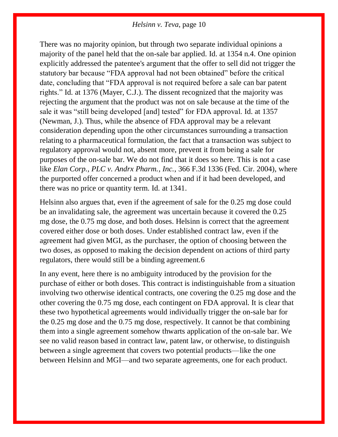There was no majority opinion, but through two separate individual opinions a majority of the panel held that the on-sale bar applied. [Id. at 1354 n.4.](https://1.next.westlaw.com/Link/Document/FullText?findType=Y&serNum=1998210012&pubNum=0000506&originatingDoc=Ib18d09d02e9311e79de0d9b9354e8e59&refType=RP&fi=co_pp_sp_506_1354&originationContext=document&transitionType=DocumentItem&contextData=(sc.Search)#co_pp_sp_506_1354) One opinion explicitly addressed the patentee's argument that the offer to sell did not trigger the statutory bar because "FDA approval had not been obtained" before the critical date, concluding that "FDA approval is not required before a sale can bar patent rights." [Id. at 1376](https://1.next.westlaw.com/Link/Document/FullText?findType=Y&serNum=1998210012&pubNum=0000506&originatingDoc=Ib18d09d02e9311e79de0d9b9354e8e59&refType=RP&fi=co_pp_sp_506_1376&originationContext=document&transitionType=DocumentItem&contextData=(sc.Search)#co_pp_sp_506_1376) (Mayer, C.J.). The dissent recognized that the majority was rejecting the argument that the product was not on sale because at the time of the sale it was "still being developed [and] tested" for FDA approval. [Id. at 1357](https://1.next.westlaw.com/Link/Document/FullText?findType=Y&serNum=1998210012&pubNum=0000506&originatingDoc=Ib18d09d02e9311e79de0d9b9354e8e59&refType=RP&fi=co_pp_sp_506_1357&originationContext=document&transitionType=DocumentItem&contextData=(sc.Search)#co_pp_sp_506_1357) (Newman, J.). Thus, while the absence of FDA approval may be a relevant consideration depending upon the other circumstances surrounding a transaction relating to a pharmaceutical formulation, the fact that a transaction was subject to regulatory approval would not, absent more, prevent it from being a sale for purposes of the on-sale bar. We do not find that it does so here. This is not a case like *[Elan Corp., PLC v. Andrx Pharm., Inc.](https://1.next.westlaw.com/Link/Document/FullText?findType=Y&serNum=2004400269&pubNum=0000506&originatingDoc=Ib18d09d02e9311e79de0d9b9354e8e59&refType=RP&originationContext=document&transitionType=DocumentItem&contextData=(sc.Search))*, 366 F.3d 1336 (Fed. Cir. 2004), where the purported offer concerned a product when and if it had been developed, and there was no price or quantity term. [Id. at 1341.](https://1.next.westlaw.com/Link/Document/FullText?findType=Y&serNum=2004400269&pubNum=0000506&originatingDoc=Ib18d09d02e9311e79de0d9b9354e8e59&refType=RP&fi=co_pp_sp_506_1341&originationContext=document&transitionType=DocumentItem&contextData=(sc.Search)#co_pp_sp_506_1341)

Helsinn also argues that, even if the agreement of sale for the 0.25 mg dose could be an invalidating sale, the agreement was uncertain because it covered the 0.25 mg dose, the 0.75 mg dose, and both doses. Helsinn is correct that the agreement covered either dose or both doses. Under established contract law, even if the agreement had given MGI, as the purchaser, the option of choosing between the two doses, as opposed to making the decision dependent on actions of third party regulators, there would still be a binding agreement[.6](https://1.next.westlaw.com/Document/Ib18d09d02e9311e79de0d9b9354e8e59/View/FullText.html?navigationPath=Search%2Fv1%2Fresults%2Fnavigation%2Fi0ad73aa7000001643cbe420d3f3e34f7%3FNav%3DCASE%26fragmentIdentifier%3DIb18d09d02e9311e79de0d9b9354e8e59%26startIndex%3D1%26contextData%3D%2528sc.Search%2529%26transitionType%3DSearchItem&listSource=Search&listPageSource=9ecfb5dd764b033872c1b85917252153&list=ALL&rank=1&sessionScopeId=52a0e40fca98e38fcc59984ddf26ead6f5376bec34e916c8590f88dc43792fae&originationContext=Search%20Result&transitionType=SearchItem&contextData=%28sc.Search%29#co_footnote_B00062041546452)

In any event, here there is no ambiguity introduced by the provision for the purchase of either or both doses. This contract is indistinguishable from a situation involving two otherwise identical contracts, one covering the 0.25 mg dose and the other covering the 0.75 mg dose, each contingent on FDA approval. It is clear that these two hypothetical agreements would individually trigger the on-sale bar for the 0.25 mg dose and the 0.75 mg dose, respectively. It cannot be that combining them into a single agreement somehow thwarts application of the on-sale bar. We see no valid reason based in contract law, patent law, or otherwise, to distinguish between a single agreement that covers two potential products—like the one between Helsinn and MGI—and two separate agreements, one for each product.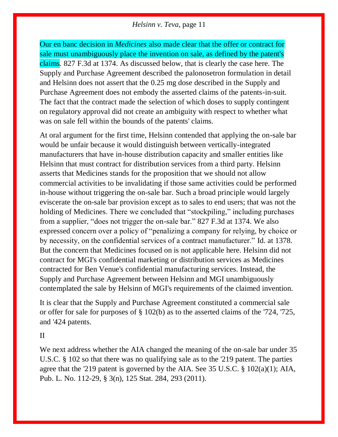Our en banc decision in *[Medicines](https://1.next.westlaw.com/Link/Document/FullText?findType=Y&serNum=2039349161&pubNum=0000506&originatingDoc=Ib18d09d02e9311e79de0d9b9354e8e59&refType=RP&originationContext=document&transitionType=DocumentItem&contextData=(sc.Search))* also made clear that the offer or contract for sale must unambiguously place the invention on sale, as defined by the patent's claims*.* [827 F.3d at 1374.](https://1.next.westlaw.com/Link/Document/FullText?findType=Y&serNum=2039349161&pubNum=0000506&originatingDoc=Ib18d09d02e9311e79de0d9b9354e8e59&refType=RP&fi=co_pp_sp_506_1374&originationContext=document&transitionType=DocumentItem&contextData=(sc.Search)#co_pp_sp_506_1374) As discussed below, that is clearly the case here. The Supply and Purchase Agreement described the palonosetron formulation in detail and Helsinn does not assert that the 0.25 mg dose described in the Supply and Purchase Agreement does not embody the asserted claims of the patents-in-suit. The fact that the contract made the selection of which doses to supply contingent on regulatory approval did not create an ambiguity with respect to whether what was on sale fell within the bounds of the patents' claims.

At oral argument for the first time, Helsinn contended that applying the on-sale bar would be unfair because it would distinguish between vertically-integrated manufacturers that have in-house distribution capacity and smaller entities like Helsinn that must contract for distribution services from a third party. Helsinn asserts that [Medicines](https://1.next.westlaw.com/Link/Document/FullText?findType=Y&serNum=2039349161&pubNum=0000506&originatingDoc=Ib18d09d02e9311e79de0d9b9354e8e59&refType=RP&originationContext=document&transitionType=DocumentItem&contextData=(sc.Search)) stands for the proposition that we should not allow commercial activities to be invalidating if those same activities could be performed in-house without triggering the on-sale bar. Such a broad principle would largely eviscerate the on-sale bar provision except as to sales to end users; that was not the holding of [Medicines.](https://1.next.westlaw.com/Link/Document/FullText?findType=Y&serNum=2039349161&pubNum=0000506&originatingDoc=Ib18d09d02e9311e79de0d9b9354e8e59&refType=RP&originationContext=document&transitionType=DocumentItem&contextData=(sc.Search)) There we concluded that "stockpiling," including purchases from a supplier, "does not trigger the on-sale bar." [827 F.3d at 1374.](https://1.next.westlaw.com/Link/Document/FullText?findType=Y&serNum=2039349161&pubNum=0000506&originatingDoc=Ib18d09d02e9311e79de0d9b9354e8e59&refType=RP&fi=co_pp_sp_506_1374&originationContext=document&transitionType=DocumentItem&contextData=(sc.Search)#co_pp_sp_506_1374) We also expressed concern over a policy of "penalizing a company for relying, by choice or by necessity, on the confidential services of a contract manufacturer." [Id. at 1378.](https://1.next.westlaw.com/Link/Document/FullText?findType=Y&serNum=2039349161&pubNum=0000506&originatingDoc=Ib18d09d02e9311e79de0d9b9354e8e59&refType=RP&fi=co_pp_sp_506_1378&originationContext=document&transitionType=DocumentItem&contextData=(sc.Search)#co_pp_sp_506_1378) But the concern that [Medicines](https://1.next.westlaw.com/Link/Document/FullText?findType=Y&serNum=2039349161&pubNum=0000506&originatingDoc=Ib18d09d02e9311e79de0d9b9354e8e59&refType=RP&originationContext=document&transitionType=DocumentItem&contextData=(sc.Search)) focused on is not applicable here. Helsinn did not contract for MGI's confidential marketing or distribution services as Medicines contracted for Ben Venue's confidential manufacturing services. Instead, the Supply and Purchase Agreement between Helsinn and MGI unambiguously contemplated the sale by Helsinn of MGI's requirements of the claimed invention.

It is clear that the Supply and Purchase Agreement constituted a commercial sale or offer for sale for purposes of [§ 102\(b\)](https://1.next.westlaw.com/Link/Document/FullText?findType=L&pubNum=1000546&cite=35USCAS102&originatingDoc=Ib18d09d02e9311e79de0d9b9354e8e59&refType=SP&originationContext=document&transitionType=DocumentItem&contextData=(sc.Search)#co_pp_a83b000018c76) as to the asserted claims of the ['724,](https://1.next.westlaw.com/Link/Document/FullText?findType=Y&serNum=2025341149&pubNum=0004074&originatingDoc=Ib18d09d02e9311e79de0d9b9354e8e59&refType=PA&docFamilyGuid=I93ce3799863c11e0af6af9916f973d19&originationContext=document&transitionType=DocumentItem&contextData=(sc.Search)) ['725,](https://1.next.westlaw.com/Link/Document/FullText?findType=Y&serNum=2025341194&pubNum=0004074&originatingDoc=Ib18d09d02e9311e79de0d9b9354e8e59&refType=PA&docFamilyGuid=I93ce3782863c11e0af6af9916f973d19&originationContext=document&transitionType=DocumentItem&contextData=(sc.Search)) and ['424 patents.](https://1.next.westlaw.com/Link/Document/FullText?findType=Y&serNum=2025489000&pubNum=0004074&originatingDoc=Ib18d09d02e9311e79de0d9b9354e8e59&refType=PA&docFamilyGuid=Id996376d971611e0a34df17ea74c323f&originationContext=document&transitionType=DocumentItem&contextData=(sc.Search))

II

We next address whether the AIA changed the meaning of the on-sale bar under [35](https://1.next.westlaw.com/Link/Document/FullText?findType=L&pubNum=1000546&cite=35USCAS102&originatingDoc=Ib18d09d02e9311e79de0d9b9354e8e59&refType=LQ&originationContext=document&transitionType=DocumentItem&contextData=(sc.Search))  [U.S.C. § 102](https://1.next.westlaw.com/Link/Document/FullText?findType=L&pubNum=1000546&cite=35USCAS102&originatingDoc=Ib18d09d02e9311e79de0d9b9354e8e59&refType=LQ&originationContext=document&transitionType=DocumentItem&contextData=(sc.Search)) so that there was no qualifying sale as to the ['219 patent.](https://1.next.westlaw.com/Link/Document/FullText?findType=Y&serNum=2032215801&pubNum=0004074&originatingDoc=Ib18d09d02e9311e79de0d9b9354e8e59&refType=PA&docFamilyGuid=Id5f746905df511e3bfb2e8ac5784b590&originationContext=document&transitionType=DocumentItem&contextData=(sc.Search)) The parties agree that the ['219 patent](https://1.next.westlaw.com/Link/Document/FullText?findType=Y&serNum=2032215801&pubNum=0004074&originatingDoc=Ib18d09d02e9311e79de0d9b9354e8e59&refType=PA&docFamilyGuid=Id5f746905df511e3bfb2e8ac5784b590&originationContext=document&transitionType=DocumentItem&contextData=(sc.Search)) is governed by the AIA. See [35 U.S.C. § 102\(a\)\(1\);](https://1.next.westlaw.com/Link/Document/FullText?findType=L&pubNum=1000546&cite=35USCAS102&originatingDoc=Ib18d09d02e9311e79de0d9b9354e8e59&refType=SP&originationContext=document&transitionType=DocumentItem&contextData=(sc.Search)#co_pp_7b9b000044381) AIA, [Pub. L. No. 112-29, § 3\(n\), 125 Stat. 284,](https://1.next.westlaw.com/Link/Document/FullText?findType=l&pubNum=1077005&cite=UUID(I4EC254D0E2-C811E09C69A-E09CBDB48B5)&originatingDoc=Ib18d09d02e9311e79de0d9b9354e8e59&refType=SL&originationContext=document&transitionType=DocumentItem&contextData=(sc.Search)) 293 (2011).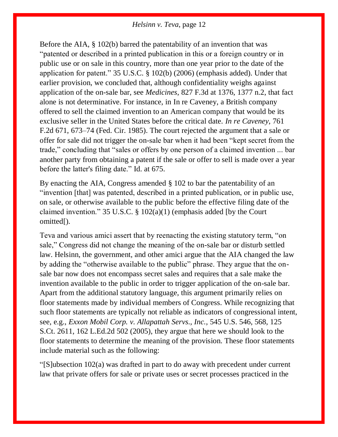Before the AIA, [§ 102\(b\)](https://1.next.westlaw.com/Link/Document/FullText?findType=L&pubNum=1000546&cite=35USCAS102&originatingDoc=Ib18d09d02e9311e79de0d9b9354e8e59&refType=SP&originationContext=document&transitionType=DocumentItem&contextData=(sc.Search)#co_pp_a83b000018c76) barred the patentability of an invention that was "patented or described in a printed publication in this or a foreign country or in public use or on sale in this country, more than one year prior to the date of the application for patent." [35 U.S.C. § 102\(b\) \(2006\)](https://1.next.westlaw.com/Link/Document/FullText?findType=L&pubNum=1000546&cite=35USCAS102&originatingDoc=Ib18d09d02e9311e79de0d9b9354e8e59&refType=SP&originationContext=document&transitionType=DocumentItem&contextData=(sc.Search)#co_pp_a83b000018c76) (emphasis added). Under that earlier provision, we concluded that, although confidentiality weighs against application of the on-sale bar, see *Medicines*[, 827 F.3d at 1376, 1377 n.2,](https://1.next.westlaw.com/Link/Document/FullText?findType=Y&serNum=2039349161&pubNum=0000506&originatingDoc=Ib18d09d02e9311e79de0d9b9354e8e59&refType=RP&fi=co_pp_sp_506_1376&originationContext=document&transitionType=DocumentItem&contextData=(sc.Search)#co_pp_sp_506_1376) that fact alone is not determinative. For instance, in [In re Caveney,](https://1.next.westlaw.com/Link/Document/FullText?findType=Y&serNum=1985123562&pubNum=0000350&originatingDoc=Ib18d09d02e9311e79de0d9b9354e8e59&refType=RP&originationContext=document&transitionType=DocumentItem&contextData=(sc.Search)) a British company offered to sell the claimed invention to an American company that would be its exclusive seller in the United States before the critical date. *[In re Caveney](https://1.next.westlaw.com/Link/Document/FullText?findType=Y&serNum=1985123562&pubNum=0000350&originatingDoc=Ib18d09d02e9311e79de0d9b9354e8e59&refType=RP&fi=co_pp_sp_350_673&originationContext=document&transitionType=DocumentItem&contextData=(sc.Search)#co_pp_sp_350_673)*, 761 [F.2d 671, 673–74 \(Fed. Cir. 1985\).](https://1.next.westlaw.com/Link/Document/FullText?findType=Y&serNum=1985123562&pubNum=0000350&originatingDoc=Ib18d09d02e9311e79de0d9b9354e8e59&refType=RP&fi=co_pp_sp_350_673&originationContext=document&transitionType=DocumentItem&contextData=(sc.Search)#co_pp_sp_350_673) The court rejected the argument that a sale or offer for sale did not trigger the on-sale bar when it had been "kept secret from the trade," concluding that "sales or offers by one person of a claimed invention ... bar another party from obtaining a patent if the sale or offer to sell is made over a year before the latter's filing date." [Id. at 675.](https://1.next.westlaw.com/Link/Document/FullText?findType=Y&serNum=1985123562&pubNum=0000350&originatingDoc=Ib18d09d02e9311e79de0d9b9354e8e59&refType=RP&fi=co_pp_sp_350_675&originationContext=document&transitionType=DocumentItem&contextData=(sc.Search)#co_pp_sp_350_675)

By enacting the AIA, Congress amended [§ 102](https://1.next.westlaw.com/Link/Document/FullText?findType=L&pubNum=1000546&cite=35USCAS102&originatingDoc=Ib18d09d02e9311e79de0d9b9354e8e59&refType=LQ&originationContext=document&transitionType=DocumentItem&contextData=(sc.Search)) to bar the patentability of an "invention [that] was patented, described in a printed publication, or in public use, on sale, or otherwise available to the public before the effective filing date of the claimed invention." 35 U.S.C.  $\S$  102(a)(1) (emphasis added [by the Court omitted[).

Teva and various amici assert that by reenacting the existing statutory term, "on sale," Congress did not change the meaning of the on-sale bar or disturb settled law. Helsinn, the government, and other amici argue that the AIA changed the law by adding the "otherwise available to the public" phrase. They argue that the onsale bar now does not encompass secret sales and requires that a sale make the invention available to the public in order to trigger application of the on-sale bar. Apart from the additional statutory language, this argument primarily relies on floor statements made by individual members of Congress. While recognizing that such floor statements are typically not reliable as indicators of congressional intent, see, e.g., *[Exxon Mobil Corp. v. Allapattah Servs., Inc.,](https://1.next.westlaw.com/Link/Document/FullText?findType=Y&serNum=2006844939&pubNum=0000708&originatingDoc=Ib18d09d02e9311e79de0d9b9354e8e59&refType=RP&originationContext=document&transitionType=DocumentItem&contextData=(sc.Search))* 545 U.S. 546, 568, 125 [S.Ct. 2611, 162 L.Ed.2d 502 \(2005\),](https://1.next.westlaw.com/Link/Document/FullText?findType=Y&serNum=2006844939&pubNum=0000708&originatingDoc=Ib18d09d02e9311e79de0d9b9354e8e59&refType=RP&originationContext=document&transitionType=DocumentItem&contextData=(sc.Search)) they argue that here we should look to the floor statements to determine the meaning of the provision. These floor statements include material such as the following:

"[S]ubsection 102(a) was drafted in part to do away with precedent under current law that private offers for sale or private uses or secret processes practiced in the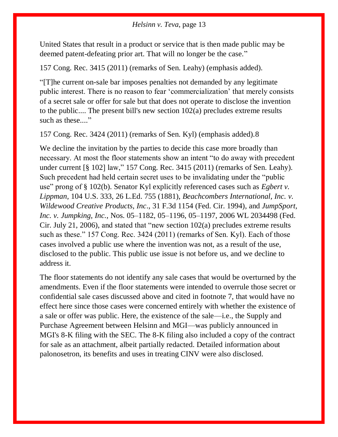United States that result in a product or service that is then made public may be deemed patent-defeating prior art. That will no longer be the case."

157 Cong. Rec. 3415 (2011) (remarks of Sen. Leahy) (emphasis added).

"[T]he current on-sale bar imposes penalties not demanded by any legitimate public interest. There is no reason to fear 'commercialization' that merely consists of a secret sale or offer for sale but that does not operate to disclose the invention to the public.... The present bill's new [section 102\(a\)](https://1.next.westlaw.com/Link/Document/FullText?findType=L&pubNum=1000546&cite=35USCAS102&originatingDoc=Ib18d09d02e9311e79de0d9b9354e8e59&refType=SP&originationContext=document&transitionType=DocumentItem&contextData=(sc.Search)#co_pp_8b3b0000958a4) precludes extreme results such as these...."

157 Cong. Rec. 3424 (2011) (remarks of Sen. Kyl) (emphasis added)[.8](https://1.next.westlaw.com/Document/Ib18d09d02e9311e79de0d9b9354e8e59/View/FullText.html?navigationPath=Search%2Fv1%2Fresults%2Fnavigation%2Fi0ad73aa7000001643cbe420d3f3e34f7%3FNav%3DCASE%26fragmentIdentifier%3DIb18d09d02e9311e79de0d9b9354e8e59%26startIndex%3D1%26contextData%3D%2528sc.Search%2529%26transitionType%3DSearchItem&listSource=Search&listPageSource=9ecfb5dd764b033872c1b85917252153&list=ALL&rank=1&sessionScopeId=52a0e40fca98e38fcc59984ddf26ead6f5376bec34e916c8590f88dc43792fae&originationContext=Search%20Result&transitionType=SearchItem&contextData=%28sc.Search%29#co_footnote_B00082041546452)

We decline the invitation by the parties to decide this case more broadly than necessary. At most the floor statements show an intent "to do away with precedent under current [\[§ 102\]](https://1.next.westlaw.com/Link/Document/FullText?findType=L&pubNum=1000546&cite=35USCAS102&originatingDoc=Ib18d09d02e9311e79de0d9b9354e8e59&refType=LQ&originationContext=document&transitionType=DocumentItem&contextData=(sc.Search)) law," 157 Cong. Rec. 3415 (2011) (remarks of Sen. Leahy). Such precedent had held certain secret uses to be invalidating under the "public use" prong of [§ 102\(b\).](https://1.next.westlaw.com/Link/Document/FullText?findType=L&pubNum=1000546&cite=35USCAS102&originatingDoc=Ib18d09d02e9311e79de0d9b9354e8e59&refType=SP&originationContext=document&transitionType=DocumentItem&contextData=(sc.Search)#co_pp_a83b000018c76) Senator Kyl explicitly referenced cases such as *[Egbert v.](https://1.next.westlaw.com/Link/Document/FullText?findType=Y&serNum=1881195174&pubNum=0000780&originatingDoc=Ib18d09d02e9311e79de0d9b9354e8e59&refType=RP&originationContext=document&transitionType=DocumentItem&contextData=(sc.Search))  Lippman,* [104 U.S. 333, 26 L.Ed. 755 \(1881\),](https://1.next.westlaw.com/Link/Document/FullText?findType=Y&serNum=1881195174&pubNum=0000780&originatingDoc=Ib18d09d02e9311e79de0d9b9354e8e59&refType=RP&originationContext=document&transitionType=DocumentItem&contextData=(sc.Search)) *[Beachcombers International, Inc. v.](https://1.next.westlaw.com/Link/Document/FullText?findType=Y&serNum=1994161680&pubNum=0000506&originatingDoc=Ib18d09d02e9311e79de0d9b9354e8e59&refType=RP&originationContext=document&transitionType=DocumentItem&contextData=(sc.Search))  [Wildewood Creative Products, Inc](https://1.next.westlaw.com/Link/Document/FullText?findType=Y&serNum=1994161680&pubNum=0000506&originatingDoc=Ib18d09d02e9311e79de0d9b9354e8e59&refType=RP&originationContext=document&transitionType=DocumentItem&contextData=(sc.Search))*., 31 F.3d 1154 (Fed. Cir. 1994), and *[JumpSport,](https://1.next.westlaw.com/Link/Document/FullText?findType=Y&serNum=2009597369&pubNum=0000999&originatingDoc=Ib18d09d02e9311e79de0d9b9354e8e59&refType=RP&originationContext=document&transitionType=DocumentItem&contextData=(sc.Search))  Inc. v. Jumpking, Inc.*[, Nos. 05–1182, 05–1196, 05–1197, 2006 WL 2034498 \(Fed.](https://1.next.westlaw.com/Link/Document/FullText?findType=Y&serNum=2009597369&pubNum=0000999&originatingDoc=Ib18d09d02e9311e79de0d9b9354e8e59&refType=RP&originationContext=document&transitionType=DocumentItem&contextData=(sc.Search))  [Cir. July 21, 2006\),](https://1.next.westlaw.com/Link/Document/FullText?findType=Y&serNum=2009597369&pubNum=0000999&originatingDoc=Ib18d09d02e9311e79de0d9b9354e8e59&refType=RP&originationContext=document&transitionType=DocumentItem&contextData=(sc.Search)) and stated that "new [section 102\(a\)](https://1.next.westlaw.com/Link/Document/FullText?findType=L&pubNum=1000546&cite=35USCAS102&originatingDoc=Ib18d09d02e9311e79de0d9b9354e8e59&refType=SP&originationContext=document&transitionType=DocumentItem&contextData=(sc.Search)#co_pp_8b3b0000958a4) precludes extreme results such as these." 157 Cong. Rec. 3424 (2011) (remarks of Sen. Kyl). Each of those cases involved a public use where the invention was not, as a result of the use, disclosed to the public. This public use issue is not before us, and we decline to address it.

The floor statements do not identify any sale cases that would be overturned by the amendments. Even if the floor statements were intended to overrule those secret or confidential sale cases discussed above and cited in footnote 7, that would have no effect here since those cases were concerned entirely with whether the existence of a sale or offer was public. Here, the existence of the sale—i.e., the Supply and Purchase Agreement between Helsinn and MGI—was publicly announced in MGI's 8-K filing with the SEC. The 8-K filing also included a copy of the contract for sale as an attachment, albeit partially redacted. Detailed information about palonosetron, its benefits and uses in treating CINV were also disclosed.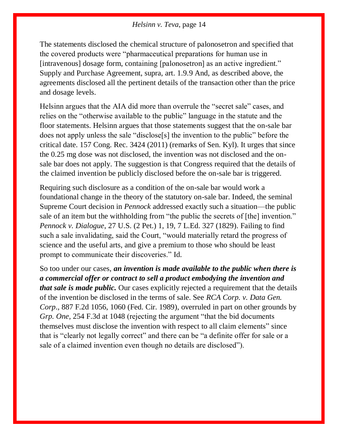The statements disclosed the chemical structure of palonosetron and specified that the covered products were "pharmaceutical preparations for human use in [intravenous] dosage form, containing [palonosetron] as an active ingredient." Supply and Purchase Agreement, supra, art. 1.9[.9](https://1.next.westlaw.com/Document/Ib18d09d02e9311e79de0d9b9354e8e59/View/FullText.html?navigationPath=Search%2Fv1%2Fresults%2Fnavigation%2Fi0ad73aa7000001643cbe420d3f3e34f7%3FNav%3DCASE%26fragmentIdentifier%3DIb18d09d02e9311e79de0d9b9354e8e59%26startIndex%3D1%26contextData%3D%2528sc.Search%2529%26transitionType%3DSearchItem&listSource=Search&listPageSource=9ecfb5dd764b033872c1b85917252153&list=ALL&rank=1&sessionScopeId=52a0e40fca98e38fcc59984ddf26ead6f5376bec34e916c8590f88dc43792fae&originationContext=Search%20Result&transitionType=SearchItem&contextData=%28sc.Search%29#co_footnote_B00092041546452) And, as described above, the agreements disclosed all the pertinent details of the transaction other than the price and dosage levels.

Helsinn argues that the AIA did more than overrule the "secret sale" cases, and relies on the "otherwise available to the public" language in the statute and the floor statements. Helsinn argues that those statements suggest that the on-sale bar does not apply unless the sale "disclose[s] the invention to the public" before the critical date. 157 Cong. Rec. 3424 (2011) (remarks of Sen. Kyl). It urges that since the 0.25 mg dose was not disclosed, the invention was not disclosed and the onsale bar does not apply. The suggestion is that Congress required that the details of the claimed invention be publicly disclosed before the on-sale bar is triggered.

Requiring such disclosure as a condition of the on-sale bar would work a foundational change in the theory of the statutory on-sale bar. Indeed, the seminal Supreme Court decision in *[Pennock](https://1.next.westlaw.com/Link/Document/FullText?findType=Y&serNum=1800105795&pubNum=0000780&originatingDoc=Ib18d09d02e9311e79de0d9b9354e8e59&refType=RP&originationContext=document&transitionType=DocumentItem&contextData=(sc.Search))* addressed exactly such a situation—the public sale of an item but the withholding from "the public the secrets of [the] invention." *Pennock v. Dialogue*[, 27 U.S. \(2 Pet.\) 1, 19, 7 L.Ed. 327 \(1829\).](https://1.next.westlaw.com/Link/Document/FullText?findType=Y&serNum=1800105795&pubNum=0000780&originatingDoc=Ib18d09d02e9311e79de0d9b9354e8e59&refType=RP&fi=co_pp_sp_780_19&originationContext=document&transitionType=DocumentItem&contextData=(sc.Search)#co_pp_sp_780_19) Failing to find such a sale invalidating, said the Court, "would materially retard the progress of science and the useful arts, and give a premium to those who should be least prompt to communicate their discoveries." [Id.](https://1.next.westlaw.com/Link/Document/FullText?findType=Y&serNum=1800105795&pubNum=0000470&originatingDoc=Ib18d09d02e9311e79de0d9b9354e8e59&refType=RP&originationContext=document&transitionType=DocumentItem&contextData=(sc.Search))

So too under our cases, *an invention is made available to the public when there is a commercial offer or contract to sell a product embodying the invention and that sale is made public.* Our cases explicitly rejected a requirement that the details of the invention be disclosed in the terms of sale. See *[RCA Corp. v. Data Gen.](https://1.next.westlaw.com/Link/Document/FullText?findType=Y&serNum=1989144960&pubNum=0000350&originatingDoc=Ib18d09d02e9311e79de0d9b9354e8e59&refType=RP&fi=co_pp_sp_350_1060&originationContext=document&transitionType=DocumentItem&contextData=(sc.Search)#co_pp_sp_350_1060)  Corp*., [887 F.2d 1056, 1060 \(Fed. Cir. 1989\),](https://1.next.westlaw.com/Link/Document/FullText?findType=Y&serNum=1989144960&pubNum=0000350&originatingDoc=Ib18d09d02e9311e79de0d9b9354e8e59&refType=RP&fi=co_pp_sp_350_1060&originationContext=document&transitionType=DocumentItem&contextData=(sc.Search)#co_pp_sp_350_1060) overruled in part on other grounds by *Grp. One,* [254 F.3d at 1048](https://1.next.westlaw.com/Link/Document/FullText?findType=Y&serNum=2001517727&pubNum=0000506&originatingDoc=Ib18d09d02e9311e79de0d9b9354e8e59&refType=RP&fi=co_pp_sp_506_1048&originationContext=document&transitionType=DocumentItem&contextData=(sc.Search)#co_pp_sp_506_1048) (rejecting the argument "that the bid documents themselves must disclose the invention with respect to all claim elements" since that is "clearly not legally correct" and there can be "a definite offer for sale or a sale of a claimed invention even though no details are disclosed").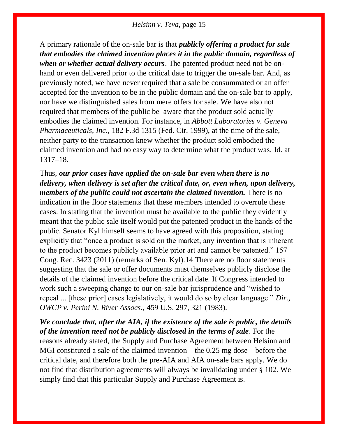A primary rationale of the on-sale bar is that *publicly offering a product for sale that embodies the claimed invention places it in the public domain, regardless of when or whether actual delivery occurs*. The patented product need not be onhand or even delivered prior to the critical date to trigger the on-sale bar. And, as previously noted, we have never required that a sale be consummated or an offer accepted for the invention to be in the public domain and the on-sale bar to apply, nor have we distinguished sales from mere offers for sale. We have also not required that members of the public be aware that the product sold actually embodies the claimed invention. For instance, in *Abbott Laboratories v. Geneva Pharmaceuticals, Inc.,* 182 F.3d 1315 (Fed. Cir. 1999), at the time of the sale, neither party to the transaction knew whether the product sold embodied the claimed invention and had no easy way to determine what the product was. [Id. at](https://1.next.westlaw.com/Link/Document/FullText?findType=Y&serNum=1999157544&pubNum=0000506&originatingDoc=Ib18d09d02e9311e79de0d9b9354e8e59&refType=RP&fi=co_pp_sp_506_1317&originationContext=document&transitionType=DocumentItem&contextData=(sc.Search)#co_pp_sp_506_1317)  [1317–18.](https://1.next.westlaw.com/Link/Document/FullText?findType=Y&serNum=1999157544&pubNum=0000506&originatingDoc=Ib18d09d02e9311e79de0d9b9354e8e59&refType=RP&fi=co_pp_sp_506_1317&originationContext=document&transitionType=DocumentItem&contextData=(sc.Search)#co_pp_sp_506_1317)

# Thus, *our prior cases have applied the on-sale bar even when there is no delivery, when delivery is set after the critical date, or, even when, upon delivery, members of the public could not ascertain the claimed invention.* There is no

indication in the floor statements that these members intended to overrule these cases. In stating that the invention must be available to the public they evidently meant that the public sale itself would put the patented product in the hands of the public. Senator Kyl himself seems to have agreed with this proposition, stating explicitly that "once a product is sold on the market, any invention that is inherent to the product becomes publicly available prior art and cannot be patented." 157 Cong. Rec. 3423 (2011) (remarks of Sen. Kyl)[.14](https://1.next.westlaw.com/Document/Ib18d09d02e9311e79de0d9b9354e8e59/View/FullText.html?navigationPath=Search%2Fv1%2Fresults%2Fnavigation%2Fi0ad73aa7000001643cbe420d3f3e34f7%3FNav%3DCASE%26fragmentIdentifier%3DIb18d09d02e9311e79de0d9b9354e8e59%26startIndex%3D1%26contextData%3D%2528sc.Search%2529%26transitionType%3DSearchItem&listSource=Search&listPageSource=9ecfb5dd764b033872c1b85917252153&list=ALL&rank=1&sessionScopeId=52a0e40fca98e38fcc59984ddf26ead6f5376bec34e916c8590f88dc43792fae&originationContext=Search%20Result&transitionType=SearchItem&contextData=%28sc.Search%29#co_footnote_B00142041546452) There are no floor statements suggesting that the sale or offer documents must themselves publicly disclose the details of the claimed invention before the critical date. If Congress intended to work such a sweeping change to our on-sale bar jurisprudence and "wished to repeal ... [these prior] cases legislatively, it would do so by clear language." *[Dir.,](https://1.next.westlaw.com/Link/Document/FullText?findType=Y&serNum=1983102110&pubNum=0000708&originatingDoc=Ib18d09d02e9311e79de0d9b9354e8e59&refType=RP&fi=co_pp_sp_708_321&originationContext=document&transitionType=DocumentItem&contextData=(sc.Search)#co_pp_sp_708_321)  [OWCP v. Perini N. River Assocs.,](https://1.next.westlaw.com/Link/Document/FullText?findType=Y&serNum=1983102110&pubNum=0000708&originatingDoc=Ib18d09d02e9311e79de0d9b9354e8e59&refType=RP&fi=co_pp_sp_708_321&originationContext=document&transitionType=DocumentItem&contextData=(sc.Search)#co_pp_sp_708_321)* 459 U.S. 297, 321 (1983).

# *We conclude that, after the AIA, if the existence of the sale is public, the details of the invention need not be publicly disclosed in the terms of sale*. For the reasons already stated, the Supply and Purchase Agreement between Helsinn and MGI constituted a sale of the claimed invention—the 0.25 mg dose—before the critical date, and therefore both the pre-AIA and AIA on-sale bars apply. We do not find that distribution agreements will always be invalidating under [§ 102.](https://1.next.westlaw.com/Link/Document/FullText?findType=L&pubNum=1000546&cite=35USCAS102&originatingDoc=Ib18d09d02e9311e79de0d9b9354e8e59&refType=LQ&originationContext=document&transitionType=DocumentItem&contextData=(sc.Search)) We

simply find that this particular Supply and Purchase Agreement is.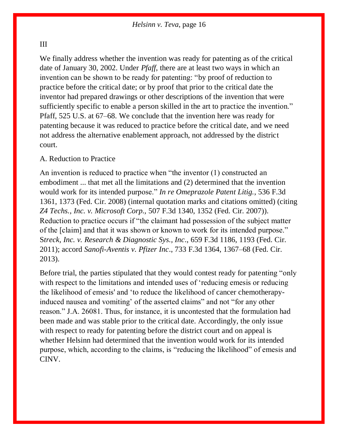#### III

We finally address whether the invention was ready for patenting as of the critical date of January 30, 2002. Under *[Pfaff](https://1.next.westlaw.com/Link/Document/FullText?findType=Y&serNum=1998228564&pubNum=0000780&originatingDoc=Ib18d09d02e9311e79de0d9b9354e8e59&refType=RP&originationContext=document&transitionType=DocumentItem&contextData=(sc.Search))*, there are at least two ways in which an invention can be shown to be ready for patenting: "by proof of reduction to practice before the critical date; or by proof that prior to the critical date the inventor had prepared drawings or other descriptions of the invention that were sufficiently specific to enable a person skilled in the art to practice the invention." Pfaff, 525 U.S. at 67–68. We conclude that the invention here was ready for patenting because it was reduced to practice before the critical date, and we need not address the alternative enablement approach, not addressed by the district court.

### A. Reduction to Practice

An invention is reduced to practice when "the inventor (1) constructed an embodiment ... that met all the limitations and (2) determined that the invention would work for its intended purpose." *[In re Omeprazole Patent Litig.](https://1.next.westlaw.com/Link/Document/FullText?findType=Y&serNum=2016791128&pubNum=0000506&originatingDoc=Ib18d09d02e9311e79de0d9b9354e8e59&refType=RP&fi=co_pp_sp_506_1373&originationContext=document&transitionType=DocumentItem&contextData=(sc.Search)#co_pp_sp_506_1373)*, 536 F.3d [1361, 1373 \(Fed. Cir. 2008\)](https://1.next.westlaw.com/Link/Document/FullText?findType=Y&serNum=2016791128&pubNum=0000506&originatingDoc=Ib18d09d02e9311e79de0d9b9354e8e59&refType=RP&fi=co_pp_sp_506_1373&originationContext=document&transitionType=DocumentItem&contextData=(sc.Search)#co_pp_sp_506_1373) (internal quotation marks and citations omitted) (citing *Z4 Techs., Inc. v. Microsoft Corp.,* [507 F.3d 1340, 1352 \(Fed. Cir. 2007\)\)](https://1.next.westlaw.com/Link/Document/FullText?findType=Y&serNum=2014119823&pubNum=0000506&originatingDoc=Ib18d09d02e9311e79de0d9b9354e8e59&refType=RP&fi=co_pp_sp_506_1352&originationContext=document&transitionType=DocumentItem&contextData=(sc.Search)#co_pp_sp_506_1352). Reduction to practice occurs if "the claimant had possession of the subject matter of the [claim] and that it was shown or known to work for its intended purpose." S*[treck, Inc. v. Research & Diagnostic Sys., Inc](https://1.next.westlaw.com/Link/Document/FullText?findType=Y&serNum=2026366838&pubNum=0000506&originatingDoc=Ib18d09d02e9311e79de0d9b9354e8e59&refType=RP&fi=co_pp_sp_506_1193&originationContext=document&transitionType=DocumentItem&contextData=(sc.Search)#co_pp_sp_506_1193)*., 659 F.3d 1186, 1193 (Fed. Cir. [2011\);](https://1.next.westlaw.com/Link/Document/FullText?findType=Y&serNum=2026366838&pubNum=0000506&originatingDoc=Ib18d09d02e9311e79de0d9b9354e8e59&refType=RP&fi=co_pp_sp_506_1193&originationContext=document&transitionType=DocumentItem&contextData=(sc.Search)#co_pp_sp_506_1193) accord *Sanofi-Aventis v. Pfizer Inc*[., 733 F.3d 1364, 1367–68 \(Fed. Cir.](https://1.next.westlaw.com/Link/Document/FullText?findType=Y&serNum=2031903045&pubNum=0000506&originatingDoc=Ib18d09d02e9311e79de0d9b9354e8e59&refType=RP&fi=co_pp_sp_506_1367&originationContext=document&transitionType=DocumentItem&contextData=(sc.Search)#co_pp_sp_506_1367)  [2013\).](https://1.next.westlaw.com/Link/Document/FullText?findType=Y&serNum=2031903045&pubNum=0000506&originatingDoc=Ib18d09d02e9311e79de0d9b9354e8e59&refType=RP&fi=co_pp_sp_506_1367&originationContext=document&transitionType=DocumentItem&contextData=(sc.Search)#co_pp_sp_506_1367)

Before trial, the parties stipulated that they would contest ready for patenting "only with respect to the limitations and intended uses of 'reducing emesis or reducing the likelihood of emesis' and 'to reduce the likelihood of [cancer](https://1.next.westlaw.com/Link/Document/FullText?entityType=disease&entityId=Iaf34f5c3475411db9765f9243f53508a&originationContext=document&transitionType=DocumentItem&contextData=(sc.Default)) chemotherapyinduced nausea and vomiting' of the asserted claims" and not "for any other reason." J.A. 26081. Thus, for instance, it is uncontested that the formulation had been made and was stable prior to the critical date. Accordingly, the only issue with respect to ready for patenting before the district court and on appeal is whether Helsinn had determined that the invention would work for its intended purpose, which, according to the claims, is "reducing the likelihood" of emesis and CINV.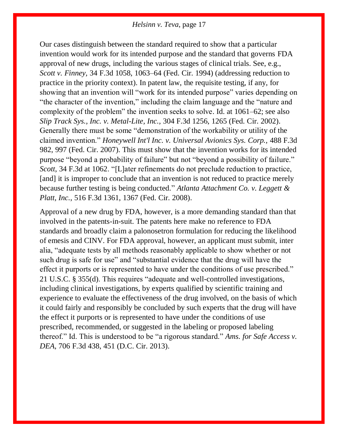Our cases distinguish between the standard required to show that a particular invention would work for its intended purpose and the standard that governs FDA approval of new drugs, including the various stages of clinical trials. See, e.g., *Scott v. Finney,* [34 F.3d 1058, 1063–64 \(Fed. Cir. 1994\)](https://1.next.westlaw.com/Link/Document/FullText?findType=Y&serNum=1994185861&pubNum=0000506&originatingDoc=Ib18d09d02e9311e79de0d9b9354e8e59&refType=RP&fi=co_pp_sp_506_1063&originationContext=document&transitionType=DocumentItem&contextData=(sc.Search)#co_pp_sp_506_1063) (addressing reduction to practice in the priority context). In patent law, the requisite testing, if any, for showing that an invention will "work for its intended purpose" varies depending on "the character of the invention," including the claim language and the "nature and complexity of the problem" the invention seeks to solve. [Id. at 1061–62;](https://1.next.westlaw.com/Link/Document/FullText?findType=Y&serNum=1994185861&pubNum=0000506&originatingDoc=Ib18d09d02e9311e79de0d9b9354e8e59&refType=RP&fi=co_pp_sp_506_1061&originationContext=document&transitionType=DocumentItem&contextData=(sc.Search)#co_pp_sp_506_1061) see also *[Slip Track Sys., Inc. v. Metal-Lite, Inc.,](https://1.next.westlaw.com/Link/Document/FullText?findType=Y&serNum=2002574147&pubNum=0000506&originatingDoc=Ib18d09d02e9311e79de0d9b9354e8e59&refType=RP&fi=co_pp_sp_506_1265&originationContext=document&transitionType=DocumentItem&contextData=(sc.Search)#co_pp_sp_506_1265)* 304 F.3d 1256, 1265 (Fed. Cir. 2002). Generally there must be some "demonstration of the workability or utility of the claimed invention." *Honeywell Int'l Inc. v. Universal Avionics Sys. Corp.,* 488 F.3d 982, 997 (Fed. Cir. 2007). This must show that the invention works for its intended purpose "beyond a probability of failure" but not "beyond a possibility of failure." *Scott*[, 34 F.3d at 1062.](https://1.next.westlaw.com/Link/Document/FullText?findType=Y&serNum=1994185861&pubNum=0000506&originatingDoc=Ib18d09d02e9311e79de0d9b9354e8e59&refType=RP&fi=co_pp_sp_506_1062&originationContext=document&transitionType=DocumentItem&contextData=(sc.Search)#co_pp_sp_506_1062) "[L]ater refinements do not preclude reduction to practice, [and] it is improper to conclude that an invention is not reduced to practice merely because further testing is being conducted." *[Atlanta Attachment Co. v. Leggett &](https://1.next.westlaw.com/Link/Document/FullText?findType=Y&serNum=2015297772&pubNum=0000506&originatingDoc=Ib18d09d02e9311e79de0d9b9354e8e59&refType=RP&fi=co_pp_sp_506_1367&originationContext=document&transitionType=DocumentItem&contextData=(sc.Search)#co_pp_sp_506_1367)  Platt, Inc.*[, 516 F.3d 1361, 1367 \(Fed. Cir. 2008\).](https://1.next.westlaw.com/Link/Document/FullText?findType=Y&serNum=2015297772&pubNum=0000506&originatingDoc=Ib18d09d02e9311e79de0d9b9354e8e59&refType=RP&fi=co_pp_sp_506_1367&originationContext=document&transitionType=DocumentItem&contextData=(sc.Search)#co_pp_sp_506_1367)

Approval of a new drug by FDA, however, is a more demanding standard than that involved in the patents-in-suit. The patents here make no reference to FDA standards and broadly claim a palonosetron formulation for reducing the likelihood of emesis and CINV. For FDA approval, however, an applicant must submit, inter alia, "adequate tests by all methods reasonably applicable to show whether or not such drug is safe for use" and "substantial evidence that the drug will have the effect it purports or is represented to have under the conditions of use prescribed." [21 U.S.C. § 355\(d\).](https://1.next.westlaw.com/Link/Document/FullText?findType=L&pubNum=1000546&cite=21USCAS355&originatingDoc=Ib18d09d02e9311e79de0d9b9354e8e59&refType=SP&originationContext=document&transitionType=DocumentItem&contextData=(sc.Search)#co_pp_5ba1000067d06) This requires "adequate and well-controlled investigations, including clinical investigations, by experts qualified by scientific training and experience to evaluate the effectiveness of the drug involved, on the basis of which it could fairly and responsibly be concluded by such experts that the drug will have the effect it purports or is represented to have under the conditions of use prescribed, recommended, or suggested in the labeling or proposed labeling thereof." Id. This is understood to be "a rigorous standard." *[Ams. for Safe Access v.](https://1.next.westlaw.com/Link/Document/FullText?findType=Y&serNum=2029690061&pubNum=0000506&originatingDoc=Ib18d09d02e9311e79de0d9b9354e8e59&refType=RP&fi=co_pp_sp_506_451&originationContext=document&transitionType=DocumentItem&contextData=(sc.Search)#co_pp_sp_506_451)  DEA*[, 706 F.3d 438, 451 \(D.C. Cir. 2013\).](https://1.next.westlaw.com/Link/Document/FullText?findType=Y&serNum=2029690061&pubNum=0000506&originatingDoc=Ib18d09d02e9311e79de0d9b9354e8e59&refType=RP&fi=co_pp_sp_506_451&originationContext=document&transitionType=DocumentItem&contextData=(sc.Search)#co_pp_sp_506_451)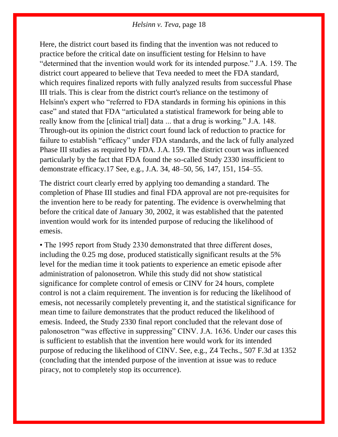Here, the district court based its finding that the invention was not reduced to practice before the critical date on insufficient testing for Helsinn to have "determined that the invention would work for its intended purpose." J.A. 159. The district court appeared to believe that Teva needed to meet the FDA standard, which requires finalized reports with fully analyzed results from successful Phase III trials. This is clear from the district court's reliance on the testimony of Helsinn's expert who "referred to FDA standards in forming his opinions in this case" and stated that FDA "articulated a statistical framework for being able to really know from the [clinical trial] data ... that a drug is working." J.A. 148. Through-out its opinion the district court found lack of reduction to practice for failure to establish "efficacy" under FDA standards, and the lack of fully analyzed Phase III studies as required by FDA. J.A. 159. The district court was influenced particularly by the fact that FDA found the so-called Study 2330 insufficient to demonstrate efficacy[.17](https://1.next.westlaw.com/Document/Ib18d09d02e9311e79de0d9b9354e8e59/View/FullText.html?navigationPath=Search%2Fv1%2Fresults%2Fnavigation%2Fi0ad73aa7000001643cbe420d3f3e34f7%3FNav%3DCASE%26fragmentIdentifier%3DIb18d09d02e9311e79de0d9b9354e8e59%26startIndex%3D1%26contextData%3D%2528sc.Search%2529%26transitionType%3DSearchItem&listSource=Search&listPageSource=9ecfb5dd764b033872c1b85917252153&list=ALL&rank=1&sessionScopeId=52a0e40fca98e38fcc59984ddf26ead6f5376bec34e916c8590f88dc43792fae&originationContext=Search%20Result&transitionType=SearchItem&contextData=%28sc.Search%29#co_footnote_B00172041546452) See, e.g., J.A. 34, 48–50, 56, 147, 151, 154–55.

The district court clearly erred by applying too demanding a standard. The completion of Phase III studies and final FDA approval are not pre-requisites for the invention here to be ready for patenting. The evidence is overwhelming that before the critical date of January 30, 2002, it was established that the patented invention would work for its intended purpose of reducing the likelihood of emesis.

• The 1995 report from Study 2330 demonstrated that three different doses, including the 0.25 mg dose, produced statistically significant results at the 5% level for the median time it took patients to experience an emetic episode after administration of [palonosetron.](https://1.next.westlaw.com/Link/Document/FullText?entityType=gdrug&entityId=I3ab3654d475111db9765f9243f53508a&originationContext=document&transitionType=DocumentItem&contextData=(sc.Default)) While this study did not show statistical significance for complete control of emesis or CINV for 24 hours, complete control is not a claim requirement. The invention is for reducing the likelihood of emesis, not necessarily completely preventing it, and the statistical significance for mean time to failure demonstrates that the product reduced the likelihood of emesis. Indeed, the Study 2330 final report concluded that the relevant dose of palonosetron "was effective in suppressing" CINV. J.A. 1636. Under our cases this is sufficient to establish that the invention here would work for its intended purpose of reducing the likelihood of CINV. See, e.g., [Z4 Techs., 507 F.3d at 1352](https://1.next.westlaw.com/Link/Document/FullText?findType=Y&serNum=2014119823&pubNum=0000506&originatingDoc=Ib18d09d02e9311e79de0d9b9354e8e59&refType=RP&fi=co_pp_sp_506_1352&originationContext=document&transitionType=DocumentItem&contextData=(sc.Search)#co_pp_sp_506_1352) (concluding that the intended purpose of the invention at issue was to reduce piracy, not to completely stop its occurrence).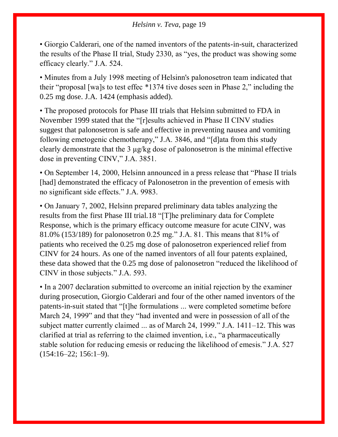• Giorgio Calderari, one of the named inventors of the patents-in-suit, characterized the results of the Phase II trial, Study 2330, as "yes, the product was showing some efficacy clearly." J.A. 524.

• Minutes from a July 1998 meeting of Helsinn's palonosetron team indicated that their "proposal [wa]s to test effec \*1374 tive doses seen in Phase 2," including the 0.25 mg dose. J.A. 1424 (emphasis added).

• The proposed protocols for Phase III trials that Helsinn submitted to FDA in November 1999 stated that the "[r]esults achieved in Phase II CINV studies suggest that [palonosetron](https://1.next.westlaw.com/Link/Document/FullText?entityType=gdrug&entityId=I3ab3654d475111db9765f9243f53508a&originationContext=document&transitionType=DocumentItem&contextData=(sc.Default)) is safe and effective in preventing nausea and vomiting following emetogenic chemotherapy," J.A. 3846, and "[d]ata from this study clearly demonstrate that the 3 μg/kg dose of [palonosetron](https://1.next.westlaw.com/Link/Document/FullText?entityType=gdrug&entityId=I3ab3654d475111db9765f9243f53508a&originationContext=document&transitionType=DocumentItem&contextData=(sc.Default)) is the minimal effective dose in preventing CINV," J.A. 3851.

• On September 14, 2000, Helsinn announced in a press release that "Phase II trials [had] demonstrated the efficacy of Palonosetron in the prevention of emesis with no significant side effects." J.A. 9983.

• On January 7, 2002, Helsinn prepared preliminary data tables analyzing the results from the first Phase III trial[.18](https://1.next.westlaw.com/Document/Ib18d09d02e9311e79de0d9b9354e8e59/View/FullText.html?navigationPath=Search%2Fv1%2Fresults%2Fnavigation%2Fi0ad73aa7000001643cbe420d3f3e34f7%3FNav%3DCASE%26fragmentIdentifier%3DIb18d09d02e9311e79de0d9b9354e8e59%26startIndex%3D1%26contextData%3D%2528sc.Search%2529%26transitionType%3DSearchItem&listSource=Search&listPageSource=9ecfb5dd764b033872c1b85917252153&list=ALL&rank=1&sessionScopeId=52a0e40fca98e38fcc59984ddf26ead6f5376bec34e916c8590f88dc43792fae&originationContext=Search%20Result&transitionType=SearchItem&contextData=%28sc.Search%29#co_footnote_B00182041546452) "[T]he preliminary data for Complete Response, which is the primary efficacy outcome measure for acute CINV, was 81.0% (153/189) for [palonosetron](https://1.next.westlaw.com/Link/Document/FullText?entityType=gdrug&entityId=I3ab3654d475111db9765f9243f53508a&originationContext=document&transitionType=DocumentItem&contextData=(sc.Default)) 0.25 mg." J.A. 81. This means that 81% of patients who received the 0.25 mg dose of [palonosetron](https://1.next.westlaw.com/Link/Document/FullText?entityType=gdrug&entityId=I3ab3654d475111db9765f9243f53508a&originationContext=document&transitionType=DocumentItem&contextData=(sc.Default)) experienced relief from CINV for 24 hours. As one of the named inventors of all four patents explained, these data showed that the 0.25 mg dose of [palonosetron](https://1.next.westlaw.com/Link/Document/FullText?entityType=gdrug&entityId=I3ab3654d475111db9765f9243f53508a&originationContext=document&transitionType=DocumentItem&contextData=(sc.Default)) "reduced the likelihood of CINV in those subjects." J.A. 593.

• In a 2007 declaration submitted to overcome an initial rejection by the examiner during prosecution, Giorgio Calderari and four of the other named inventors of the patents-in-suit stated that "[t]he formulations ... were completed sometime before March 24, 1999" and that they "had invented and were in possession of all of the subject matter currently claimed ... as of March 24, 1999." J.A. 1411–12. This was clarified at trial as referring to the claimed invention, i.e., "a pharmaceutically stable solution for reducing emesis or reducing the likelihood of emesis." J.A. 527  $(154:16-22; 156:1-9).$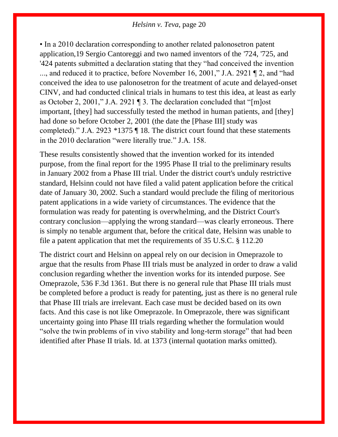• In a 2010 declaration corresponding to another related palonosetron patent application[,19](https://1.next.westlaw.com/Document/Ib18d09d02e9311e79de0d9b9354e8e59/View/FullText.html?navigationPath=Search%2Fv1%2Fresults%2Fnavigation%2Fi0ad73aa7000001643cbe420d3f3e34f7%3FNav%3DCASE%26fragmentIdentifier%3DIb18d09d02e9311e79de0d9b9354e8e59%26startIndex%3D1%26contextData%3D%2528sc.Search%2529%26transitionType%3DSearchItem&listSource=Search&listPageSource=9ecfb5dd764b033872c1b85917252153&list=ALL&rank=1&sessionScopeId=52a0e40fca98e38fcc59984ddf26ead6f5376bec34e916c8590f88dc43792fae&originationContext=Search%20Result&transitionType=SearchItem&contextData=%28sc.Search%29#co_footnote_B00192041546452) Sergio Cantoreggi and two named inventors of the ['724,](https://1.next.westlaw.com/Link/Document/FullText?findType=Y&serNum=2025341149&pubNum=0004074&originatingDoc=Ib18d09d02e9311e79de0d9b9354e8e59&refType=PA&docFamilyGuid=I93ce3799863c11e0af6af9916f973d19&originationContext=document&transitionType=DocumentItem&contextData=(sc.Search)) ['725,](https://1.next.westlaw.com/Link/Document/FullText?findType=Y&serNum=2025341194&pubNum=0004074&originatingDoc=Ib18d09d02e9311e79de0d9b9354e8e59&refType=PA&docFamilyGuid=I93ce3782863c11e0af6af9916f973d19&originationContext=document&transitionType=DocumentItem&contextData=(sc.Search)) and ['424 patents](https://1.next.westlaw.com/Link/Document/FullText?findType=Y&serNum=2025489000&pubNum=0004074&originatingDoc=Ib18d09d02e9311e79de0d9b9354e8e59&refType=PA&docFamilyGuid=Id996376d971611e0a34df17ea74c323f&originationContext=document&transitionType=DocumentItem&contextData=(sc.Search)) submitted a declaration stating that they "had conceived the invention ..., and reduced it to practice, before November 16, 2001," J.A. 2921 ¶ 2, and "had conceived the idea to use [palonosetron](https://1.next.westlaw.com/Link/Document/FullText?entityType=gdrug&entityId=I3ab3654d475111db9765f9243f53508a&originationContext=document&transitionType=DocumentItem&contextData=(sc.Default)) for the treatment of acute and delayed-onset CINV, and had conducted clinical trials in humans to test this idea, at least as early as October 2, 2001," J.A. 2921 ¶ 3. The declaration concluded that "[m]ost important, [they] had successfully tested the method in human patients, and [they] had done so before October 2, 2001 (the date the [Phase III] study was completed)." J.A. 2923 \*1375 ¶ 18. The district court found that these statements in the 2010 declaration "were literally true." J.A. 158.

These results consistently showed that the invention worked for its intended purpose, from the final report for the 1995 Phase II trial to the preliminary results in January 2002 from a Phase III trial. Under the district court's unduly restrictive standard, Helsinn could not have filed a valid patent application before the critical date of January 30, 2002. Such a standard would preclude the filing of meritorious patent applications in a wide variety of circumstances. The evidence that the formulation was ready for patenting is overwhelming, and the District Court's contrary conclusion—applying the wrong standard—was clearly erroneous. There is simply no tenable argument that, before the critical date, Helsinn was unable to file a patent application that met the requirements of [35 U.S.C. § 112](https://1.next.westlaw.com/Link/Document/FullText?findType=L&pubNum=1000546&cite=35USCAS112&originatingDoc=Ib18d09d02e9311e79de0d9b9354e8e59&refType=LQ&originationContext=document&transitionType=DocumentItem&contextData=(sc.Search))[.20](https://1.next.westlaw.com/Document/Ib18d09d02e9311e79de0d9b9354e8e59/View/FullText.html?navigationPath=Search%2Fv1%2Fresults%2Fnavigation%2Fi0ad73aa7000001643cbe420d3f3e34f7%3FNav%3DCASE%26fragmentIdentifier%3DIb18d09d02e9311e79de0d9b9354e8e59%26startIndex%3D1%26contextData%3D%2528sc.Search%2529%26transitionType%3DSearchItem&listSource=Search&listPageSource=9ecfb5dd764b033872c1b85917252153&list=ALL&rank=1&sessionScopeId=52a0e40fca98e38fcc59984ddf26ead6f5376bec34e916c8590f88dc43792fae&originationContext=Search%20Result&transitionType=SearchItem&contextData=%28sc.Search%29#co_footnote_B00202041546452)

The district court and Helsinn on appeal rely on our decision in [Omeprazole](https://1.next.westlaw.com/Link/Document/FullText?findType=Y&serNum=2016791128&pubNum=0000506&originatingDoc=Ib18d09d02e9311e79de0d9b9354e8e59&refType=RP&originationContext=document&transitionType=DocumentItem&contextData=(sc.Search)) to argue that the results from Phase III trials must be analyzed in order to draw a valid conclusion regarding whether the invention works for its intended purpose. See [Omeprazole, 536 F.3d 1361.](https://1.next.westlaw.com/Link/Document/FullText?findType=Y&serNum=2016791128&pubNum=0000506&originatingDoc=Ib18d09d02e9311e79de0d9b9354e8e59&refType=RP&originationContext=document&transitionType=DocumentItem&contextData=(sc.Search)) But there is no general rule that Phase III trials must be completed before a product is ready for patenting, just as there is no general rule that Phase III trials are irrelevant. Each case must be decided based on its own facts. And this case is not like [Omeprazole.](https://1.next.westlaw.com/Link/Document/FullText?findType=Y&serNum=2016791128&pubNum=0000506&originatingDoc=Ib18d09d02e9311e79de0d9b9354e8e59&refType=RP&originationContext=document&transitionType=DocumentItem&contextData=(sc.Search)) In [Omeprazole,](https://1.next.westlaw.com/Link/Document/FullText?findType=Y&serNum=2016791128&pubNum=0000506&originatingDoc=Ib18d09d02e9311e79de0d9b9354e8e59&refType=RP&originationContext=document&transitionType=DocumentItem&contextData=(sc.Search)) there was significant uncertainty going into Phase III trials regarding whether the formulation would "solve the twin problems of in vivo stability and long-term storage" that had been identified after Phase II trials. [Id. at 1373](https://1.next.westlaw.com/Link/Document/FullText?findType=Y&serNum=2016791128&pubNum=0000506&originatingDoc=Ib18d09d02e9311e79de0d9b9354e8e59&refType=RP&fi=co_pp_sp_506_1373&originationContext=document&transitionType=DocumentItem&contextData=(sc.Search)#co_pp_sp_506_1373) (internal quotation marks omitted).